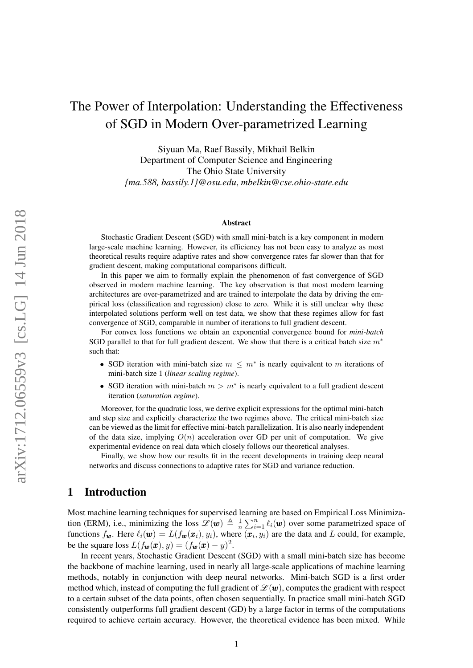# The Power of Interpolation: Understanding the Effectiveness of SGD in Modern Over-parametrized Learning

Siyuan Ma, Raef Bassily, Mikhail Belkin Department of Computer Science and Engineering The Ohio State University *{ma.588, bassily.1}@osu.edu*, *mbelkin@cse.ohio-state.edu*

#### Abstract

Stochastic Gradient Descent (SGD) with small mini-batch is a key component in modern large-scale machine learning. However, its efficiency has not been easy to analyze as most theoretical results require adaptive rates and show convergence rates far slower than that for gradient descent, making computational comparisons difficult.

In this paper we aim to formally explain the phenomenon of fast convergence of SGD observed in modern machine learning. The key observation is that most modern learning architectures are over-parametrized and are trained to interpolate the data by driving the empirical loss (classification and regression) close to zero. While it is still unclear why these interpolated solutions perform well on test data, we show that these regimes allow for fast convergence of SGD, comparable in number of iterations to full gradient descent.

For convex loss functions we obtain an exponential convergence bound for *mini-batch* SGD parallel to that for full gradient descent. We show that there is a critical batch size  $m<sup>*</sup>$ such that:

- SGD iteration with mini-batch size  $m \leq m^*$  is nearly equivalent to m iterations of mini-batch size 1 (*linear scaling regime*).
- SGD iteration with mini-batch  $m > m^*$  is nearly equivalent to a full gradient descent iteration (*saturation regime*).

Moreover, for the quadratic loss, we derive explicit expressions for the optimal mini-batch and step size and explicitly characterize the two regimes above. The critical mini-batch size can be viewed as the limit for effective mini-batch parallelization. It is also nearly independent of the data size, implying  $O(n)$  acceleration over GD per unit of computation. We give experimental evidence on real data which closely follows our theoretical analyses.

Finally, we show how our results fit in the recent developments in training deep neural networks and discuss connections to adaptive rates for SGD and variance reduction.

# 1 Introduction

Most machine learning techniques for supervised learning are based on Empirical Loss Minimization (ERM), i.e., minimizing the loss  $\mathscr{L}(\boldsymbol{w}) \triangleq \frac{1}{n}$  $\frac{1}{n} \sum_{i=1}^{n} \ell_i(\boldsymbol{w})$  over some parametrized space of functions  $f_{\bm{w}}$ . Here  $\ell_i(\bm{w}) = L(f_{\bm{w}}(\bm{x}_i), y_i)$ , where  $(\bm{x}_i, y_i)$  are the data and L could, for example, be the square loss  $L(f_{\boldsymbol{w}}(\boldsymbol{x}), y) = (f_{\boldsymbol{w}}(\boldsymbol{x}) - y)^2$ .

In recent years, Stochastic Gradient Descent (SGD) with a small mini-batch size has become the backbone of machine learning, used in nearly all large-scale applications of machine learning methods, notably in conjunction with deep neural networks. Mini-batch SGD is a first order method which, instead of computing the full gradient of  $\mathcal{L}(\mathbf{w})$ , computes the gradient with respect to a certain subset of the data points, often chosen sequentially. In practice small mini-batch SGD consistently outperforms full gradient descent (GD) by a large factor in terms of the computations required to achieve certain accuracy. However, the theoretical evidence has been mixed. While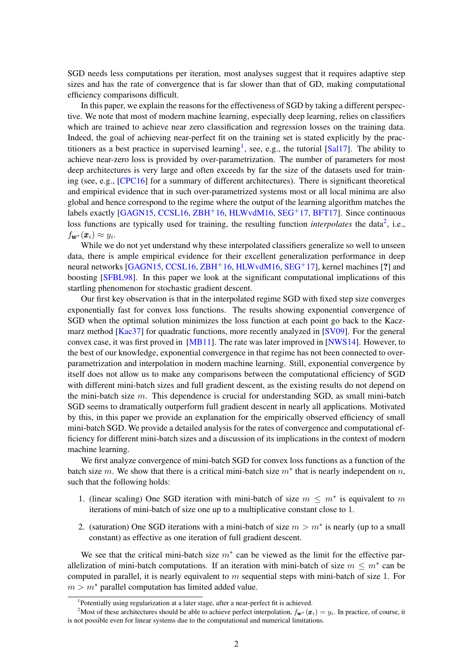SGD needs less computations per iteration, most analyses suggest that it requires adaptive step sizes and has the rate of convergence that is far slower than that of GD, making computational efficiency comparisons difficult.

In this paper, we explain the reasons for the effectiveness of SGD by taking a different perspective. We note that most of modern machine learning, especially deep learning, relies on classifiers which are trained to achieve near zero classification and regression losses on the training data. Indeed, the goal of achieving near-perfect fit on the training set is stated explicitly by the prac-titioners as a best practice in supervised learning<sup>[1](#page-1-0)</sup>, see, e.g., the tutorial [\[Sal17\]](#page-18-0). The ability to achieve near-zero loss is provided by over-parametrization. The number of parameters for most deep architectures is very large and often exceeds by far the size of the datasets used for training (see, e.g., [\[CPC16\]](#page-17-0) for a summary of different architectures). There is significant theoretical and empirical evidence that in such over-parametrized systems most or all local minima are also global and hence correspond to the regime where the output of the learning algorithm matches the labels exactly  $[GAGN15, CCSL16, ZBH<sup>+</sup>16, HLWvdM16, SEG<sup>+</sup>17, BFT17]$  $[GAGN15, CCSL16, ZBH<sup>+</sup>16, HLWvdM16, SEG<sup>+</sup>17, BFT17]$  $[GAGN15, CCSL16, ZBH<sup>+</sup>16, HLWvdM16, SEG<sup>+</sup>17, BFT17]$  $[GAGN15, CCSL16, ZBH<sup>+</sup>16, HLWvdM16, SEG<sup>+</sup>17, BFT17]$  $[GAGN15, CCSL16, ZBH<sup>+</sup>16, HLWvdM16, SEG<sup>+</sup>17, BFT17]$  $[GAGN15, CCSL16, ZBH<sup>+</sup>16, HLWvdM16, SEG<sup>+</sup>17, BFT17]$  $[GAGN15, CCSL16, ZBH<sup>+</sup>16, HLWvdM16, SEG<sup>+</sup>17, BFT17]$  $[GAGN15, CCSL16, ZBH<sup>+</sup>16, HLWvdM16, SEG<sup>+</sup>17, BFT17]$  $[GAGN15, CCSL16, ZBH<sup>+</sup>16, HLWvdM16, SEG<sup>+</sup>17, BFT17]$  $[GAGN15, CCSL16, ZBH<sup>+</sup>16, HLWvdM16, SEG<sup>+</sup>17, BFT17]$  $[GAGN15, CCSL16, ZBH<sup>+</sup>16, HLWvdM16, SEG<sup>+</sup>17, BFT17]$ . Since continuous loss functions are typically used for training, the resulting function *interpolates* the data<sup>[2](#page-1-1)</sup>, i.e.,  $f_{\pmb{w}^*}(\pmb{x}_i) \approx y_i.$ 

While we do not yet understand why these interpolated classifiers generalize so well to unseen data, there is ample empirical evidence for their excellent generalization performance in deep neural networks  $[GAGN15, CCSL16, ZBH<sup>+</sup>16, HLWvdM16, SEG<sup>+</sup>17]$  $[GAGN15, CCSL16, ZBH<sup>+</sup>16, HLWvdM16, SEG<sup>+</sup>17]$  $[GAGN15, CCSL16, ZBH<sup>+</sup>16, HLWvdM16, SEG<sup>+</sup>17]$  $[GAGN15, CCSL16, ZBH<sup>+</sup>16, HLWvdM16, SEG<sup>+</sup>17]$  $[GAGN15, CCSL16, ZBH<sup>+</sup>16, HLWvdM16, SEG<sup>+</sup>17]$  $[GAGN15, CCSL16, ZBH<sup>+</sup>16, HLWvdM16, SEG<sup>+</sup>17]$  $[GAGN15, CCSL16, ZBH<sup>+</sup>16, HLWvdM16, SEG<sup>+</sup>17]$  $[GAGN15, CCSL16, ZBH<sup>+</sup>16, HLWvdM16, SEG<sup>+</sup>17]$  $[GAGN15, CCSL16, ZBH<sup>+</sup>16, HLWvdM16, SEG<sup>+</sup>17]$  $[GAGN15, CCSL16, ZBH<sup>+</sup>16, HLWvdM16, SEG<sup>+</sup>17]$ , kernel machines [?] and boosting [\[SFBL98\]](#page-18-3). In this paper we look at the significant computational implications of this startling phenomenon for stochastic gradient descent.

Our first key observation is that in the interpolated regime SGD with fixed step size converges exponentially fast for convex loss functions. The results showing exponential convergence of SGD when the optimal solution minimizes the loss function at each point go back to the Kaczmarz method [\[Kac37\]](#page-17-5) for quadratic functions, more recently analyzed in [\[SV09\]](#page-18-4). For the general convex case, it was first proved in [\[MB11\]](#page-18-5). The rate was later improved in [\[NWS14\]](#page-18-6). However, to the best of our knowledge, exponential convergence in that regime has not been connected to overparametrization and interpolation in modern machine learning. Still, exponential convergence by itself does not allow us to make any comparisons between the computational efficiency of SGD with different mini-batch sizes and full gradient descent, as the existing results do not depend on the mini-batch size  $m$ . This dependence is crucial for understanding SGD, as small mini-batch SGD seems to dramatically outperform full gradient descent in nearly all applications. Motivated by this, in this paper we provide an explanation for the empirically observed efficiency of small mini-batch SGD. We provide a detailed analysis for the rates of convergence and computational efficiency for different mini-batch sizes and a discussion of its implications in the context of modern machine learning.

We first analyze convergence of mini-batch SGD for convex loss functions as a function of the batch size m. We show that there is a critical mini-batch size  $m^*$  that is nearly independent on n, such that the following holds:

- 1. (linear scaling) One SGD iteration with mini-batch of size  $m \leq m^*$  is equivalent to m iterations of mini-batch of size one up to a multiplicative constant close to 1.
- 2. (saturation) One SGD iterations with a mini-batch of size  $m > m^*$  is nearly (up to a small constant) as effective as one iteration of full gradient descent.

We see that the critical mini-batch size  $m^*$  can be viewed as the limit for the effective parallelization of mini-batch computations. If an iteration with mini-batch of size  $m \leq m^*$  can be computed in parallel, it is nearly equivalent to  $m$  sequential steps with mini-batch of size 1. For  $m > m^*$  parallel computation has limited added value.

<span id="page-1-1"></span><span id="page-1-0"></span><sup>&</sup>lt;sup>1</sup>Potentially using regularization at a later stage, after a near-perfect fit is achieved.

<sup>&</sup>lt;sup>2</sup>Most of these architectures should be able to achieve perfect interpolation,  $f_{w^*}(x_i) = y_i$ . In practice, of course, it is not possible even for linear systems due to the computational and numerical limitations.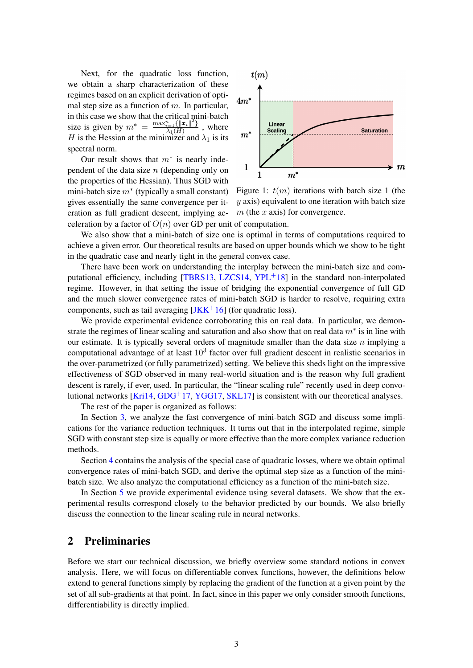Next, for the quadratic loss function, we obtain a sharp characterization of these regimes based on an explicit derivation of optimal step size as a function of  $m$ . In particular, in this case we show that the critical mini-batch size is given by  $m^* = \frac{\max_{i=1}^n \{ ||\mathbf{x}_i||^2 \}}{\lambda_1(H)}$  $\frac{i=1}{\lambda_1(H)}^{\frac{i=1}{\lambda}||\mathbf{L}_i||}$ , where H is the Hessian at the minimizer and  $\lambda_1$  is its spectral norm.

Our result shows that  $m^*$  is nearly independent of the data size  $n$  (depending only on the properties of the Hessian). Thus SGD with mini-batch size  $m^*$  (typically a small constant) gives essentially the same convergence per iteration as full gradient descent, implying ac-



Figure 1:  $t(m)$  iterations with batch size 1 (the  $y$  axis) equivalent to one iteration with batch size  $m$  (the  $x$  axis) for convergence.

celeration by a factor of  $O(n)$  over GD per unit of computation.

We also show that a mini-batch of size one is optimal in terms of computations required to achieve a given error. Our theoretical results are based on upper bounds which we show to be tight in the quadratic case and nearly tight in the general convex case.

There have been work on understanding the interplay between the mini-batch size and computational efficiency, including  $[TBRS13, LZCS14, YPL+18]$  $[TBRS13, LZCS14, YPL+18]$  $[TBRS13, LZCS14, YPL+18]$  $[TBRS13, LZCS14, YPL+18]$  $[TBRS13, LZCS14, YPL+18]$  $[TBRS13, LZCS14, YPL+18]$  in the standard non-interpolated regime. However, in that setting the issue of bridging the exponential convergence of full GD and the much slower convergence rates of mini-batch SGD is harder to resolve, requiring extra components, such as tail averaging  $[JKK^+16]$  $[JKK^+16]$  (for quadratic loss).

We provide experimental evidence corroborating this on real data. In particular, we demonstrate the regimes of linear scaling and saturation and also show that on real data  $m^*$  is in line with our estimate. It is typically several orders of magnitude smaller than the data size  $n$  implying a computational advantage of at least  $10<sup>3</sup>$  factor over full gradient descent in realistic scenarios in the over-parametrized (or fully parametrized) setting. We believe this sheds light on the impressive effectiveness of SGD observed in many real-world situation and is the reason why full gradient descent is rarely, if ever, used. In particular, the "linear scaling rule" recently used in deep convolutional networks  $[Kri14, GDG<sup>+</sup>17, YGG17, SKL17]$  $[Kri14, GDG<sup>+</sup>17, YGG17, SKL17]$  $[Kri14, GDG<sup>+</sup>17, YGG17, SKL17]$  $[Kri14, GDG<sup>+</sup>17, YGG17, SKL17]$  $[Kri14, GDG<sup>+</sup>17, YGG17, SKL17]$  $[Kri14, GDG<sup>+</sup>17, YGG17, SKL17]$  $[Kri14, GDG<sup>+</sup>17, YGG17, SKL17]$  is consistent with our theoretical analyses.

The rest of the paper is organized as follows:

In Section [3,](#page-3-0) we analyze the fast convergence of mini-batch SGD and discuss some implications for the variance reduction techniques. It turns out that in the interpolated regime, simple SGD with constant step size is equally or more effective than the more complex variance reduction methods.

Section [4](#page-6-0) contains the analysis of the special case of quadratic losses, where we obtain optimal convergence rates of mini-batch SGD, and derive the optimal step size as a function of the minibatch size. We also analyze the computational efficiency as a function of the mini-batch size.

In Section [5](#page-13-0) we provide experimental evidence using several datasets. We show that the experimental results correspond closely to the behavior predicted by our bounds. We also briefly discuss the connection to the linear scaling rule in neural networks.

# 2 Preliminaries

Before we start our technical discussion, we briefly overview some standard notions in convex analysis. Here, we will focus on differentiable convex functions, however, the definitions below extend to general functions simply by replacing the gradient of the function at a given point by the set of all sub-gradients at that point. In fact, since in this paper we only consider smooth functions, differentiability is directly implied.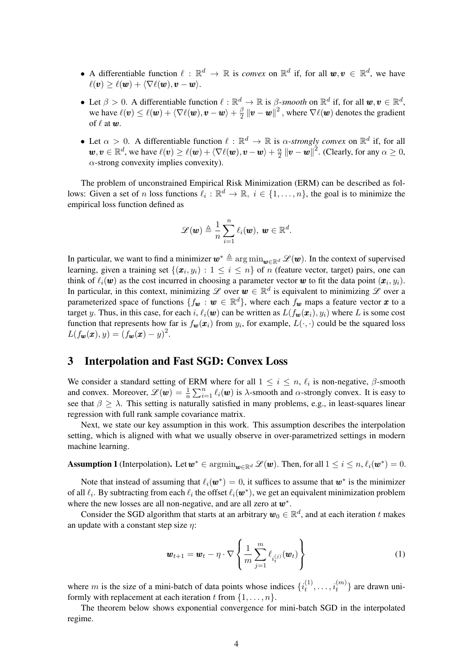- A differentiable function  $\ell : \mathbb{R}^d \to \mathbb{R}$  is *convex* on  $\mathbb{R}^d$  if, for all  $w, v \in \mathbb{R}^d$ , we have  $\ell(\mathbf{v}) > \ell(\mathbf{w}) + \langle \nabla \ell(\mathbf{w}), \mathbf{v} - \mathbf{w} \rangle.$
- Let  $\beta > 0$ . A differentiable function  $\ell : \mathbb{R}^d \to \mathbb{R}$  is  $\beta$ -smooth on  $\mathbb{R}^d$  if, for all  $w, v \in \mathbb{R}^d$ , we have  $\ell(\boldsymbol{v}) \leq \ell(\boldsymbol{w}) + \langle \nabla \ell(\boldsymbol{w}), \boldsymbol{v} - \boldsymbol{w} \rangle + \frac{\beta}{2}$  $\frac{\beta}{2}\left\|\bm{v}-\bm{w}\right\|^{2},$  where  $\nabla\ell(\bm{w})$  denotes the gradient of  $\ell$  at  $w$ .
- Let  $\alpha > 0$ . A differentiable function  $\ell : \mathbb{R}^d \to \mathbb{R}$  is  $\alpha$ -strongly convex on  $\mathbb{R}^d$  if, for all  $\mathbf{w}, \mathbf{v} \in \mathbb{R}^d$ , we have  $\ell(\mathbf{v}) \geq \ell(\mathbf{w}) + \langle \nabla \ell(\mathbf{w}), \mathbf{v} - \mathbf{w} \rangle + \frac{\alpha}{2}$  $\frac{\alpha}{2}$   $\left\|\bm{v}-\bm{w}\right\|^{2}$ . (Clearly, for any  $\alpha\geq0$ ,  $\alpha$ -strong convexity implies convexity).

The problem of unconstrained Empirical Risk Minimization (ERM) can be described as follows: Given a set of n loss functions  $\ell_i : \mathbb{R}^d \to \mathbb{R}, i \in \{1, ..., n\}$ , the goal is to minimize the empirical loss function defined as

$$
\mathscr{L}(\boldsymbol{w}) \triangleq \frac{1}{n} \sum_{i=1}^{n} \ell_i(\boldsymbol{w}), \ \boldsymbol{w} \in \mathbb{R}^d.
$$

In particular, we want to find a minimizer  $w^* \triangleq \arg\min_{w \in \mathbb{R}^d} \mathcal{L}(w)$ . In the context of supervised learning, given a training set  $\{(\pmb{x}_i, y_i): 1 \leq i \leq n\}$  of n (feature vector, target) pairs, one can think of  $\ell_i(\bm{w})$  as the cost incurred in choosing a parameter vector  $\bm{w}$  to fit the data point  $(\bm{x}_i, y_i)$ . In particular, in this context, minimizing  $\mathscr L$  over  $\bm w \in \mathbb R^d$  is equivalent to minimizing  $\mathscr L$  over a parameterized space of functions  $\{f_{\bm{w}} : \bm{w} \in \mathbb{R}^d\}$ , where each  $f_{\bm{w}}$  maps a feature vector  $\bm{x}$  to a target y. Thus, in this case, for each i,  $\ell_i(\mathbf{w})$  can be written as  $L(f_{\mathbf{w}}(\mathbf{x}_i), y_i)$  where L is some cost function that represents how far is  $f_{\bm{w}}(\bm{x}_i)$  from  $y_i$ , for example,  $L(\cdot, \cdot)$  could be the squared loss  $L(f_{\boldsymbol{w}}(\boldsymbol{x}), y) = (f_{\boldsymbol{w}}(\boldsymbol{x}) - y)^2.$ 

# <span id="page-3-0"></span>3 Interpolation and Fast SGD: Convex Loss

We consider a standard setting of ERM where for all  $1 \leq i \leq n$ ,  $\ell_i$  is non-negative,  $\beta$ -smooth and convex. Moreover,  $\mathscr{L}(\boldsymbol{w}) = \frac{1}{n} \sum_{i=1}^{n} \ell_i(\boldsymbol{w})$  is  $\lambda$ -smooth and  $\alpha$ -strongly convex. It is easy to see that  $\beta \geq \lambda$ . This setting is naturally satisfied in many problems, e.g., in least-squares linear regression with full rank sample covariance matrix.

Next, we state our key assumption in this work. This assumption describes the interpolation setting, which is aligned with what we usually observe in over-parametrized settings in modern machine learning.

<span id="page-3-1"></span>**Assumption 1** (Interpolation). Let  $w^* \in \operatorname{argmin}_{w \in \mathbb{R}^d} \mathcal{L}(w)$ . Then, for all  $1 \leq i \leq n$ ,  $\ell_i(w^*) = 0$ .

Note that instead of assuming that  $\ell_i(\mathbf{w}^*) = 0$ , it suffices to assume that  $\mathbf{w}^*$  is the minimizer of all  $\ell_i$ . By subtracting from each  $\ell_i$  the offset  $\ell_i(\bm{w}^*)$ , we get an equivalent minimization problem where the new losses are all non-negative, and are all zero at  $w^*$ .

Consider the SGD algorithm that starts at an arbitrary  $w_0 \in \mathbb{R}^d$ , and at each iteration t makes an update with a constant step size  $\eta$ :

<span id="page-3-2"></span>
$$
\boldsymbol{w}_{t+1} = \boldsymbol{w}_t - \eta \cdot \nabla \left\{ \frac{1}{m} \sum_{j=1}^m \ell_{i_t^{(j)}}(\boldsymbol{w}_t) \right\} \tag{1}
$$

where m is the size of a mini-batch of data points whose indices  $\{i_t^{(1)}\}$  $\{i_1^{(1)}, \ldots, i_t^{(m)}\}$  are drawn uniformly with replacement at each iteration t from  $\{1, \ldots, n\}$ .

The theorem below shows exponential convergence for mini-batch SGD in the interpolated regime.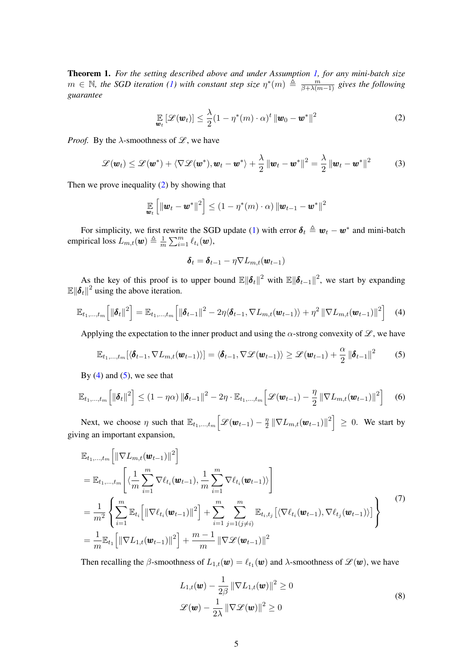<span id="page-4-7"></span>Theorem 1. *For the setting described above and under Assumption [1,](#page-3-1) for any mini-batch size*  $m$  ∈  $\mathbb N$ *, the SGD iteration [\(1\)](#page-3-2)* with constant step size  $\eta^*(m) \triangleq \frac{m}{\beta + \lambda(m-1)}$  gives the following *guarantee*

$$
\mathop{\mathbb{E}}_{\boldsymbol{w}_t} \left[ \mathcal{L}(\boldsymbol{w}_t) \right] \leq \frac{\lambda}{2} (1 - \eta^*(m) \cdot \alpha)^t \left\| \boldsymbol{w}_0 - \boldsymbol{w}^* \right\|^2 \tag{2}
$$

<span id="page-4-0"></span>*Proof.* By the  $\lambda$ -smoothness of  $\mathcal{L}$ , we have

<span id="page-4-6"></span>
$$
\mathcal{L}(\boldsymbol{w}_t) \leq \mathcal{L}(\boldsymbol{w}^*) + \langle \nabla \mathcal{L}(\boldsymbol{w}^*), \boldsymbol{w}_t - \boldsymbol{w}^* \rangle + \frac{\lambda}{2} ||\boldsymbol{w}_t - \boldsymbol{w}^*||^2 = \frac{\lambda}{2} ||\boldsymbol{w}_t - \boldsymbol{w}^*||^2 \qquad (3)
$$

Then we prove inequality [\(2\)](#page-4-0) by showing that

$$
\mathop{\mathbb{E}}_{\boldsymbol{w}_t} \left[ \|\boldsymbol{w}_t - \boldsymbol{w}^*\|^2 \right] \leq (1 - \eta^*(m) \cdot \alpha) \left\| \boldsymbol{w}_{t-1} - \boldsymbol{w}^* \right\|^2
$$

For simplicity, we first rewrite the SGD update [\(1\)](#page-3-2) with error  $\boldsymbol{\delta}_t \triangleq \boldsymbol{w}_t - \boldsymbol{w}^*$  and mini-batch empirical loss  $L_{m,t}(\boldsymbol{w}) \triangleq \frac{1}{m}$  $\frac{1}{m}\sum_{i=1}^m \ell_{t_i}(\boldsymbol{w}),$ 

$$
\boldsymbol{\delta}_t = \boldsymbol{\delta}_{t-1} - \eta \nabla L_{m,t}(\boldsymbol{w}_{t-1})
$$

As the key of this proof is to upper bound  $\mathbb{E} \|\boldsymbol{\delta}_t\|^2$  with  $\mathbb{E} \|\boldsymbol{\delta}_{t-1}\|^2$ , we start by expanding  $\mathbb{E} \Vert \boldsymbol{\delta}_t \Vert^2$  using the above iteration.

<span id="page-4-1"></span>
$$
\mathbb{E}_{t_1,\ldots,t_m}\left[\left\|\boldsymbol{\delta}_t\right\|^2\right] = \mathbb{E}_{t_1,\ldots,t_m}\left[\left\|\boldsymbol{\delta}_{t-1}\right\|^2 - 2\eta\langle\boldsymbol{\delta}_{t-1},\nabla L_{m,t}(\boldsymbol{w}_{t-1})\rangle + \eta^2\left\|\nabla L_{m,t}(\boldsymbol{w}_{t-1})\right\|^2\right] \tag{4}
$$

Applying the expectation to the inner product and using the  $\alpha$ -strong convexity of  $\mathscr{L}$ , we have

<span id="page-4-2"></span>
$$
\mathbb{E}_{t_1,\ldots,t_m}[\langle \boldsymbol{\delta}_{t-1}, \nabla L_{m,t}(\boldsymbol{w}_{t-1}) \rangle] = \langle \boldsymbol{\delta}_{t-1}, \nabla \mathcal{L}(\boldsymbol{w}_{t-1}) \rangle \geq \mathcal{L}(\boldsymbol{w}_{t-1}) + \frac{\alpha}{2} ||\boldsymbol{\delta}_{t-1}||^2 \tag{5}
$$

By  $(4)$  and  $(5)$ , we see that

<span id="page-4-5"></span>
$$
\mathbb{E}_{t_1,\dots,t_m} \left[ \|\boldsymbol{\delta}_t\|^2 \right] \le (1 - \eta \alpha) \left\| \boldsymbol{\delta}_{t-1} \right\|^2 - 2\eta \cdot \mathbb{E}_{t_1,\dots,t_m} \left[ \mathcal{L}(\boldsymbol{w}_{t-1}) - \frac{\eta}{2} \left\| \nabla L_{m,t}(\boldsymbol{w}_{t-1}) \right\|^2 \right] \tag{6}
$$

Next, we choose  $\eta$  such that  $\mathbb{E}_{t_1,...,t_m}\Big[\mathscr{L}(\boldsymbol{w}_{t-1}) - \frac{\eta}{2}\Big]$  $\frac{\eta}{2} \left\| \nabla L_{m,t}(\boldsymbol{w}_{t-1}) \right\|^2 \Big] \, \geq \, 0.$  We start by giving an important expansion,

<span id="page-4-3"></span>
$$
\mathbb{E}_{t_1,\dots,t_m} \Big[ \|\nabla L_{m,t}(\mathbf{w}_{t-1})\|^2 \Big] \n= \mathbb{E}_{t_1,\dots,t_m} \Bigg[ \langle \frac{1}{m} \sum_{i=1}^m \nabla \ell_{t_i}(\mathbf{w}_{t-1}), \frac{1}{m} \sum_{i=1}^m \nabla \ell_{t_i}(\mathbf{w}_{t-1}) \rangle \Bigg] \n= \frac{1}{m^2} \Bigg\{ \sum_{i=1}^m \mathbb{E}_{t_i} \Big[ \|\nabla \ell_{t_i}(\mathbf{w}_{t-1})\|^2 \Big] + \sum_{i=1}^m \sum_{j=1 (j \neq i)}^m \mathbb{E}_{t_i,t_j} \big[ \langle \nabla \ell_{t_i}(\mathbf{w}_{t-1}), \nabla \ell_{t_j}(\mathbf{w}_{t-1}) \rangle \big] \Bigg\} \tag{7}
$$
\n
$$
= \frac{1}{m} \mathbb{E}_{t_1} \Big[ \|\nabla L_{1,t}(\mathbf{w}_{t-1})\|^2 \Big] + \frac{m-1}{m} \|\nabla \mathcal{L}(\mathbf{w}_{t-1})\|^2
$$

<span id="page-4-4"></span>Then recalling the  $\beta$ -smoothness of  $L_{1,t}(\bm{w}) = \ell_{t_1}(\bm{w})$  and  $\lambda$ -smoothness of  $\mathscr{L}(\bm{w})$ , we have

$$
L_{1,t}(\boldsymbol{w}) - \frac{1}{2\beta} \|\nabla L_{1,t}(\boldsymbol{w})\|^2 \ge 0
$$
  

$$
\mathscr{L}(\boldsymbol{w}) - \frac{1}{2\lambda} \|\nabla \mathscr{L}(\boldsymbol{w})\|^2 \ge 0
$$
 (8)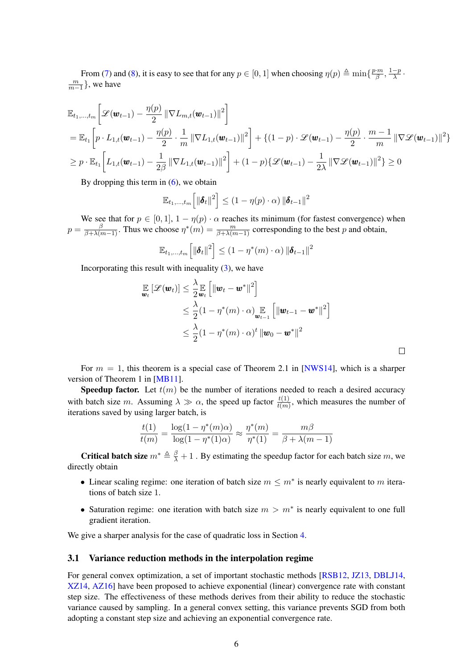From [\(7\)](#page-4-3) and [\(8\)](#page-4-4), it is easy to see that for any  $p \in [0, 1]$  when choosing  $\eta(p) \triangleq \min\{\frac{p \cdot m}{\beta}\}$  $\frac{m}{\beta}, \frac{1-p}{\lambda}$  $\frac{-p}{\lambda}$ .  $\frac{m}{m-1}$ , we have

$$
\mathbb{E}_{t_1,\dots,t_m} \bigg[ \mathcal{L}(\mathbf{w}_{t-1}) - \frac{\eta(p)}{2} \|\nabla L_{m,t}(\mathbf{w}_{t-1})\|^2 \bigg] \n= \mathbb{E}_{t_1} \bigg[ p \cdot L_{1,t}(\mathbf{w}_{t-1}) - \frac{\eta(p)}{2} \cdot \frac{1}{m} \|\nabla L_{1,t}(\mathbf{w}_{t-1})\|^2 \bigg] + \{(1-p) \cdot \mathcal{L}(\mathbf{w}_{t-1}) - \frac{\eta(p)}{2} \cdot \frac{m-1}{m} \|\nabla \mathcal{L}(\mathbf{w}_{t-1})\|^2 \} \n\geq p \cdot \mathbb{E}_{t_1} \bigg[ L_{1,t}(\mathbf{w}_{t-1}) - \frac{1}{2\beta} \|\nabla L_{1,t}(\mathbf{w}_{t-1})\|^2 \bigg] + (1-p) \{\mathcal{L}(\mathbf{w}_{t-1}) - \frac{1}{2\lambda} \|\nabla \mathcal{L}(\mathbf{w}_{t-1})\|^2 \} \geq 0
$$

By dropping this term in  $(6)$ , we obtain

$$
\mathbb{E}_{t_1,\ldots,t_m}\left[\left\|\boldsymbol{\delta}_t\right\|^2\right] \leq \left(1-\eta(p)\cdot\alpha\right) \left\|\boldsymbol{\delta}_{t-1}\right\|^2
$$

We see that for  $p \in [0, 1], 1 - \eta(p) \cdot \alpha$  reaches its minimum (for fastest convergence) when  $p = \frac{\beta}{\beta + \lambda(m-1)}$ . Thus we choose  $\eta^*(m) = \frac{m}{\beta + \lambda(m-1)}$  corresponding to the best p and obtain,

$$
\mathbb{E}_{t_1,\ldots,t_m}\left[\left\|\boldsymbol{\delta}_t\right\|^2\right] \leq \left(1-\eta^*(m)\cdot\alpha\right) \left\|\boldsymbol{\delta}_{t-1}\right\|^2
$$

Incorporating this result with inequality  $(3)$ , we have

$$
\mathbb{E}_{\boldsymbol{w}_t} \left[ \mathcal{L}(\boldsymbol{w}_t) \right] \leq \frac{\lambda}{2} \mathbb{E}_{\boldsymbol{w}_t} \left[ \|\boldsymbol{w}_t - \boldsymbol{w}^*\|^2 \right] \n\leq \frac{\lambda}{2} (1 - \eta^*(m) \cdot \alpha) \mathbb{E}_{\boldsymbol{w}_{t-1}} \left[ \|\boldsymbol{w}_{t-1} - \boldsymbol{w}^*\|^2 \right] \n\leq \frac{\lambda}{2} (1 - \eta^*(m) \cdot \alpha)^t \|\boldsymbol{w}_0 - \boldsymbol{w}^*\|^2
$$

For  $m = 1$ , this theorem is a special case of Theorem 2.1 in [\[NWS14\]](#page-18-6), which is a sharper version of Theorem 1 in [\[MB11\]](#page-18-5).

**Speedup factor.** Let  $t(m)$  be the number of iterations needed to reach a desired accuracy with batch size m. Assuming  $\lambda \gg \alpha$ , the speed up factor  $\frac{t(1)}{t(m)}$ , which measures the number of iterations saved by using larger batch, is

$$
\frac{t(1)}{t(m)} = \frac{\log(1 - \eta^*(m)\alpha)}{\log(1 - \eta^*(1)\alpha)} \approx \frac{\eta^*(m)}{\eta^*(1)} = \frac{m\beta}{\beta + \lambda(m-1)}
$$

**Critical batch size**  $m^* \triangleq \frac{\beta}{\lambda} + 1$ . By estimating the speedup factor for each batch size m, we directly obtain

- Linear scaling regime: one iteration of batch size  $m \leq m^*$  is nearly equivalent to m iterations of batch size 1.
- Saturation regime: one iteration with batch size  $m > m^*$  is nearly equivalent to one full gradient iteration.

We give a sharper analysis for the case of quadratic loss in Section [4.](#page-6-0)

#### 3.1 Variance reduction methods in the interpolation regime

For general convex optimization, a set of important stochastic methods [\[RSB12,](#page-18-12) [JZ13,](#page-17-9) [DBLJ14,](#page-17-10) [XZ14,](#page-18-13) [AZ16\]](#page-17-11) have been proposed to achieve exponential (linear) convergence rate with constant step size. The effectiveness of these methods derives from their ability to reduce the stochastic variance caused by sampling. In a general convex setting, this variance prevents SGD from both adopting a constant step size and achieving an exponential convergence rate.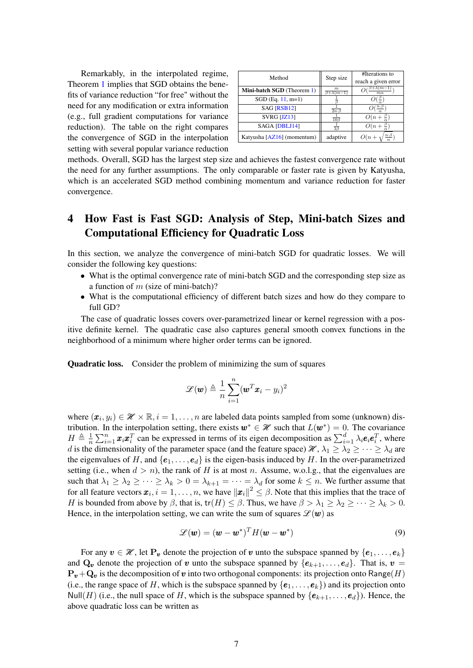Remarkably, in the interpolated regime, Theorem [1](#page-4-7) implies that SGD obtains the benefits of variance reduction "for free" without the need for any modification or extra information (e.g., full gradient computations for variance reduction). The table on the right compares the convergence of SGD in the interpolation setting with several popular variance reduction

| Method                            | Step size                        | #Iterations to<br>reach a given error |
|-----------------------------------|----------------------------------|---------------------------------------|
| <b>Mini-batch SGD</b> (Theorem 1) | $_{m}$<br>$\beta + \lambda(m-1)$ | $(m-1)$                               |
| $SGD$ (Eq. 11, m=1)               |                                  |                                       |
| SAG [RSB12]                       | $\overline{2n\cdot\beta}$        | $O(\frac{n \cdot \beta}{n})$          |
| SVRG [JZ13]                       | $\overline{10\beta}$             | $O(n+\frac{\beta}{\alpha})$           |
| SAGA [DBLJ14]                     | $\overline{38}$                  | $O(n+\frac{\beta}{a})$                |
| Katyusha [AZ16] (momentum)        | adaptive                         | $n \cdot \beta$                       |

methods. Overall, SGD has the largest step size and achieves the fastest convergence rate without the need for any further assumptions. The only comparable or faster rate is given by Katyusha, which is an accelerated SGD method combining momentum and variance reduction for faster convergence.

# <span id="page-6-0"></span>4 How Fast is Fast SGD: Analysis of Step, Mini-batch Sizes and Computational Efficiency for Quadratic Loss

In this section, we analyze the convergence of mini-batch SGD for quadratic losses. We will consider the following key questions:

- What is the optimal convergence rate of mini-batch SGD and the corresponding step size as a function of  $m$  (size of mini-batch)?
- What is the computational efficiency of different batch sizes and how do they compare to full GD?

The case of quadratic losses covers over-parametrized linear or kernel regression with a positive definite kernel. The quadratic case also captures general smooth convex functions in the neighborhood of a minimum where higher order terms can be ignored.

Quadratic loss. Consider the problem of minimizing the sum of squares

$$
\mathcal{L}(\boldsymbol{w}) \triangleq \frac{1}{n} \sum_{i=1}^{n} (\boldsymbol{w}^T \boldsymbol{x}_i - y_i)^2
$$

where  $(\mathbf{x}_i, y_i) \in \mathcal{H} \times \mathbb{R}, i = 1, \dots, n$  are labeled data points sampled from some (unknown) distribution. In the interpolation setting, there exists  $w^* \in \mathcal{H}$  such that  $L(w^*) = 0$ . The covariance  $H \triangleq \frac{1}{n}$  $\frac{1}{n}\sum_{i=1}^n \bm{x}_i \bm{x}_i^T$  can be expressed in terms of its eigen decomposition as  $\sum_{i=1}^d \lambda_i \bm{e}_i \bm{e}_i^T$ , where d is the dimensionality of the parameter space (and the feature space)  $\mathcal{H}, \lambda_1 \geq \lambda_2 \geq \cdots \geq \lambda_d$  are the eigenvalues of H, and  $\{e_1, \ldots, e_d\}$  is the eigen-basis induced by H. In the over-parametrized setting (i.e., when  $d > n$ ), the rank of H is at most n. Assume, w.o.l.g., that the eigenvalues are such that  $\lambda_1 \geq \lambda_2 \geq \cdots \geq \lambda_k > 0 = \lambda_{k+1} = \cdots = \lambda_d$  for some  $k \leq n$ . We further assume that for all feature vectors  $\bm{x}_i, i = 1, \ldots, n$ , we have  $\|\bm{x}_i\|^2 \leq \beta$ . Note that this implies that the trace of H is bounded from above by  $\beta$ , that is,  $tr(H) \leq \beta$ . Thus, we have  $\beta > \lambda_1 \geq \lambda_2 \geq \cdots \geq \lambda_k > 0$ . Hence, in the interpolation setting, we can write the sum of squares  $\mathcal{L}(\mathbf{w})$  as

<span id="page-6-1"></span>
$$
\mathcal{L}(\boldsymbol{w}) = (\boldsymbol{w} - \boldsymbol{w}^*)^T H (\boldsymbol{w} - \boldsymbol{w}^*)
$$
\n(9)

For any  $v \in \mathcal{H}$ , let  $P_v$  denote the projection of v unto the subspace spanned by  $\{e_1, \ldots, e_k\}$ and  $\mathbf{Q}_{v}$  denote the projection of v unto the subspace spanned by  $\{e_{k+1}, \ldots, e_{d}\}$ . That is,  $v =$  ${\bf P}_{\bm v}+{\bf Q}_{\bm v}$  is the decomposition of  $\bm v$  into two orthogonal components: its projection onto Range(H) (i.e., the range space of H, which is the subspace spanned by  $\{e_1, \ldots, e_k\}$ ) and its projection onto Null(H) (i.e., the null space of H, which is the subspace spanned by  $\{e_{k+1}, \ldots, e_d\}$ ). Hence, the above quadratic loss can be written as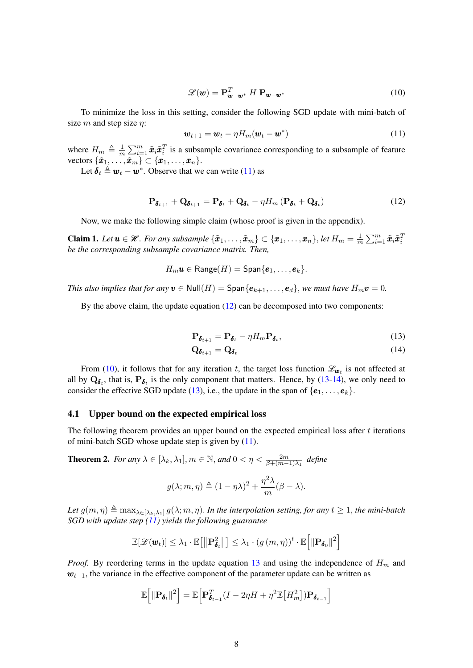<span id="page-7-2"></span>
$$
\mathcal{L}(\mathbf{w}) = \mathbf{P}_{\mathbf{w}-\mathbf{w}^*}^T H \, \mathbf{P}_{\mathbf{w}-\mathbf{w}^*} \tag{10}
$$

To minimize the loss in this setting, consider the following SGD update with mini-batch of size m and step size  $\eta$ :

<span id="page-7-1"></span><span id="page-7-0"></span>
$$
\boldsymbol{w}_{t+1} = \boldsymbol{w}_t - \eta H_m(\boldsymbol{w}_t - \boldsymbol{w}^*)
$$
\n(11)

where  $H_m \triangleq \frac{1}{m}$  $\frac{1}{m} \sum_{i=1}^{m} \tilde{x}_i \tilde{x}_i^T$  is a subsample covariance corresponding to a subsample of feature vectors  $\{\tilde{x}_1, \ldots, \tilde{x}_m\} \subset \{x_1, \ldots, x_n\}.$ 

Let  $\delta_t \triangleq w_t - w^*$ . Observe that we can write [\(11\)](#page-7-0) as

$$
\mathbf{P}_{\pmb{\delta}_{t+1}} + \mathbf{Q}_{\pmb{\delta}_{t+1}} = \mathbf{P}_{\pmb{\delta}_t} + \mathbf{Q}_{\pmb{\delta}_t} - \eta H_m \left( \mathbf{P}_{\pmb{\delta}_t} + \mathbf{Q}_{\pmb{\delta}_t} \right) \tag{12}
$$

Now, we make the following simple claim (whose proof is given in the appendix).

<span id="page-7-7"></span>**Claim 1.** Let  $u \in \mathcal{H}$ . For any subsample  $\{\tilde{x}_1, \ldots, \tilde{x}_m\} \subset \{x_1, \ldots, x_n\}$ , let  $H_m = \frac{1}{m}$  $\frac{1}{m}\sum_{i=1}^m \tilde{\boldsymbol{x}}_i \tilde{\boldsymbol{x}}_i^T$ *be the corresponding subsample covariance matrix. Then,*

$$
H_m\boldsymbol{u}\in\mathsf{Range}(H)=\mathsf{Span}\{\boldsymbol{e}_1,\ldots,\boldsymbol{e}_k\}.
$$

*This also implies that for any*  $v \in Null(H) = Span{e_{k+1}, \ldots, e_d}$ , *we must have*  $H_m v = 0$ .

By the above claim, the update equation [\(12\)](#page-7-1) can be decomposed into two components:

<span id="page-7-3"></span>
$$
\mathbf{P}_{\pmb{\delta}_{t+1}} = \mathbf{P}_{\pmb{\delta}_t} - \eta H_m \mathbf{P}_{\pmb{\delta}_t},\tag{13}
$$

<span id="page-7-4"></span>
$$
\mathbf{Q}_{\boldsymbol{\delta}_{t+1}} = \mathbf{Q}_{\boldsymbol{\delta}_t} \tag{14}
$$

From [\(10\)](#page-7-2), it follows that for any iteration t, the target loss function  $\mathcal{L}_{w_t}$  is not affected at all by  $Q_{\delta_t}$ , that is,  $P_{\delta_t}$  is the only component that matters. Hence, by [\(13-](#page-7-3)[14\)](#page-7-4), we only need to consider the effective SGD update [\(13\)](#page-7-3), i.e., the update in the span of  $\{e_1, \ldots, e_k\}$ .

#### 4.1 Upper bound on the expected empirical loss

The following theorem provides an upper bound on the expected empirical loss after  $t$  iterations of mini-batch SGD whose update step is given by  $(11)$ .

<span id="page-7-5"></span>**Theorem 2.** For any  $\lambda \in [\lambda_k, \lambda_1], m \in \mathbb{N}$ , and  $0 < \eta < \frac{2m}{\beta + (m-1)\lambda_1}$  define

$$
g(\lambda; m, \eta) \triangleq (1 - \eta \lambda)^2 + \frac{\eta^2 \lambda}{m} (\beta - \lambda).
$$

Let  $g(m, \eta) \triangleq \max_{\lambda \in [\lambda_k, \lambda_1]} g(\lambda; m, \eta)$ . In the interpolation setting, for any  $t \geq 1$ , the mini-batch *SGD with update step [\(11\)](#page-7-0) yields the following guarantee*

<span id="page-7-6"></span>
$$
\mathbb{E}[\mathscr{L}(\boldsymbol{w}_t)] \leq \lambda_1 \cdot \mathbb{E}\big[\big\Vert \mathbf{P}_{\boldsymbol{\delta}_t}^2 \big\Vert\big] \leq \lambda_1 \cdot \left(g\left(m,\eta\right)\right)^t \cdot \mathbb{E}\big[\big\Vert \mathbf{P}_{\boldsymbol{\delta}_0}\big\Vert^2\big]
$$

*Proof.* By reordering terms in the update equation [13](#page-7-3) and using the independence of  $H_m$  and  $w_{t-1}$ , the variance in the effective component of the parameter update can be written as

$$
\mathbb{E}\Big[\Vert \mathbf{P}_{\boldsymbol{\delta}_t} \Vert^2\Big] = \mathbb{E}\Big[\mathbf{P}_{\boldsymbol{\delta}_{t-1}}^T(I - 2\eta H + \eta^2 \mathbb{E}\big[H_m^2\big])\mathbf{P}_{\boldsymbol{\delta}_{t-1}}\Big]
$$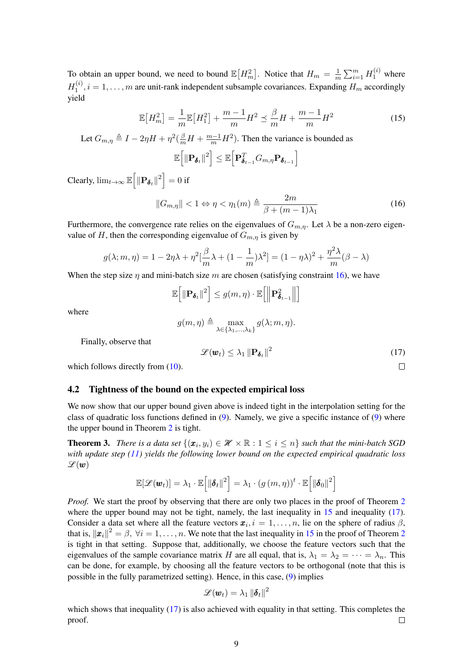To obtain an upper bound, we need to bound  $\mathbb{E}[H_m^2]$ . Notice that  $H_m = \frac{1}{m}$  $\frac{1}{m} \sum_{i=1}^{m} H_1^{(i)}$  where  $H_1^{(i)}$  $\mathbf{1}_{1}^{(i)}$ ,  $i = 1, \ldots, m$  are unit-rank independent subsample covariances. Expanding  $H_m$  accordingly yield

$$
\mathbb{E}[H_m^2] = \frac{1}{m} \mathbb{E}[H_1^2] + \frac{m-1}{m} H^2 \le \frac{\beta}{m} H + \frac{m-1}{m} H^2 \tag{15}
$$

Let  $G_{m,\eta} \triangleq I - 2\eta H + \eta^2(\frac{\beta}{m}H + \frac{m-1}{m}H^2)$ . Then the variance is bounded as

$$
\mathbb{E}\Big[\Vert\mathbf{P}_{\boldsymbol{\delta}_t}\Vert^2\Big]\leq \mathbb{E}\Big[\mathbf{P}_{\boldsymbol{\delta}_{t-1}}^TG_{m,\eta}\mathbf{P}_{\boldsymbol{\delta}_{t-1}}\Big]
$$

Clearly,  $\lim_{t\to\infty} \mathbb{E} \Big[ || \mathbf{P}_{\boldsymbol{\delta}_t} ||^2 \Big] = 0$  if

<span id="page-8-0"></span>
$$
||G_{m,\eta}|| < 1 \Leftrightarrow \eta < \eta_1(m) \triangleq \frac{2m}{\beta + (m-1)\lambda_1}
$$
 (16)

Furthermore, the convergence rate relies on the eigenvalues of  $G_{m,n}$ . Let  $\lambda$  be a non-zero eigenvalue of H, then the corresponding eigenvalue of  $G_{m,\eta}$  is given by

$$
g(\lambda; m, \eta) = 1 - 2\eta\lambda + \eta^2 \left[\frac{\beta}{m}\lambda + (1 - \frac{1}{m})\lambda^2\right] = (1 - \eta\lambda)^2 + \frac{\eta^2\lambda}{m}(\beta - \lambda)
$$

When the step size  $\eta$  and mini-batch size m are chosen (satisfying constraint [16\)](#page-8-0), we have

<span id="page-8-1"></span>
$$
\mathbb{E}\left[\left\Vert \mathbf{P}_{\boldsymbol{\delta}_{t}}\right\Vert ^{2}\right]\leq g(m,\eta)\cdot\mathbb{E}\left[\left\Vert \mathbf{P}_{\boldsymbol{\delta}_{t-1}}^{2}\right\Vert \right]
$$

where

$$
g(m, \eta) \triangleq \max_{\lambda \in \{\lambda_1, \dots, \lambda_k\}} g(\lambda; m, \eta).
$$

Finally, observe that

$$
\mathscr{L}(\boldsymbol{w}_t) \leq \lambda_1 \left\| \mathbf{P}_{\boldsymbol{\delta}_t} \right\|^2 \tag{17}
$$

 $\Box$ 

which follows directly from  $(10)$ .

#### 4.2 Tightness of the bound on the expected empirical loss

We now show that our upper bound given above is indeed tight in the interpolation setting for the class of quadratic loss functions defined in  $(9)$ . Namely, we give a specific instance of  $(9)$  where the upper bound in Theorem [2](#page-7-5) is tight.

**Theorem 3.** *There is a data set*  $\{(\bm{x}_i, y_i) \in \mathcal{H} \times \mathbb{R} : 1 \leq i \leq n\}$  *such that the mini-batch SGD with update step [\(11\)](#page-7-0) yields the following lower bound on the expected empirical quadratic loss*  $\mathscr{L}(\boldsymbol{w})$ 

$$
\mathbb{E}[\mathscr{L}(\boldsymbol{w}_t)] = \lambda_1 \cdot \mathbb{E}\Big[\|\boldsymbol{\delta}_t\|^2\Big] = \lambda_1 \cdot (g(m,\eta))^t \cdot \mathbb{E}\Big[\|\boldsymbol{\delta}_0\|^2\Big]
$$

*Proof.* We start the proof by observing that there are only two places in the proof of Theorem [2](#page-7-5) where the upper bound may not be tight, namely, the last inequality in  $15$  and inequality [\(17\)](#page-8-1). Consider a data set where all the feature vectors  $x_i$ ,  $i = 1, \ldots, n$ , lie on the sphere of radius  $\beta$ , that is,  $\|\bm{x}_i\|^2 = \beta$  $\|\bm{x}_i\|^2 = \beta$  $\|\bm{x}_i\|^2 = \beta$ ,  $\forall i = 1, \dots, n$ . We note that the last inequality in [15](#page-7-6) in the proof of Theorem 2 is tight in that setting. Suppose that, additionally, we choose the feature vectors such that the eigenvalues of the sample covariance matrix H are all equal, that is,  $\lambda_1 = \lambda_2 = \cdots = \lambda_n$ . This can be done, for example, by choosing all the feature vectors to be orthogonal (note that this is possible in the fully parametrized setting). Hence, in this case, [\(9\)](#page-6-1) implies

<span id="page-8-2"></span>
$$
\mathscr{L}(\bm{w}_t) = \lambda_1\, \|\bm{\delta}_t\|^2
$$

which shows that inequality  $(17)$  is also achieved with equality in that setting. This completes the proof.  $\Box$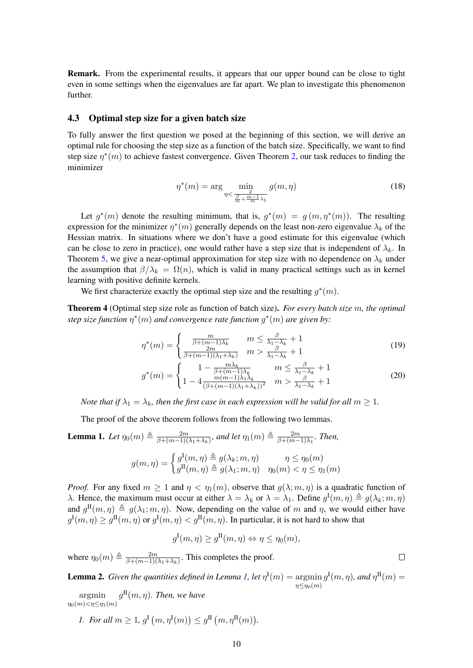Remark. From the experimental results, it appears that our upper bound can be close to tight even in some settings when the eigenvalues are far apart. We plan to investigate this phenomenon further.

#### 4.3 Optimal step size for a given batch size

To fully answer the first question we posed at the beginning of this section, we will derive an optimal rule for choosing the step size as a function of the batch size. Specifically, we want to find step size  $\eta^*(m)$  to achieve fastest convergence. Given Theorem [2,](#page-7-5) our task reduces to finding the minimizer

$$
\eta^*(m) = \arg\min_{\eta < \frac{\beta}{\frac{\beta}{m} + \frac{m-1}{m}\lambda_1}} g(m, \eta) \tag{18}
$$

Let  $g^*(m)$  denote the resulting minimum, that is,  $g^*(m) = g(m, \eta^*(m))$ . The resulting expression for the minimizer  $\eta^*(m)$  generally depends on the least non-zero eigenvalue  $\lambda_k$  of the Hessian matrix. In situations where we don't have a good estimate for this eigenvalue (which can be close to zero in practice), one would rather have a step size that is independent of  $\lambda_k$ . In Theorem [5,](#page-10-0) we give a near-optimal approximation for step size with no dependence on  $\lambda_k$  under the assumption that  $\beta/\lambda_k = \Omega(n)$ , which is valid in many practical settings such as in kernel learning with positive definite kernels.

We first characterize exactly the optimal step size and the resulting  $g^*(m)$ .

<span id="page-9-3"></span>Theorem 4 (Optimal step size role as function of batch size). *For every batch size* m*, the optimal step size function* η ∗ (m) *and convergence rate function* g ∗ (m) *are given by:*

$$
\eta^*(m) = \begin{cases} \frac{m}{\beta + (m-1)\lambda_k} & m \le \frac{\beta}{\lambda_1 - \lambda_k} + 1\\ \frac{2m}{\beta + (m-1)(\lambda_1 + \lambda_k)} & m > \frac{\beta}{\lambda_1 - \lambda_k} + 1 \end{cases}
$$
(19)

$$
g^*(m) = \begin{cases} 1 - \frac{m\lambda_k}{\beta + (m-1)\lambda_k} & m \le \frac{\beta}{\lambda_1 - \lambda_k} + 1\\ 1 - 4 \frac{m(m-1)\lambda_1\lambda_k}{(\beta + (m-1)(\lambda_1 + \lambda_k))^2} & m > \frac{\beta}{\lambda_1 - \lambda_k} + 1 \end{cases}
$$
(20)

*Note that if*  $\lambda_1 = \lambda_k$ *, then the first case in each expression will be valid for all*  $m \geq 1$ *.* 

The proof of the above theorem follows from the following two lemmas.

<span id="page-9-0"></span>**Lemma 1.** Let 
$$
\eta_0(m) \triangleq \frac{2m}{\beta + (m-1)(\lambda_1 + \lambda_k)}
$$
, and let  $\eta_1(m) \triangleq \frac{2m}{\beta + (m-1)\lambda_1}$ . Then,  

$$
g(m, \eta) = \begin{cases} g^{\text{I}}(m, \eta) \triangleq g(\lambda_k; m, \eta) & \eta \leq \eta_0(m) \\ g^{\text{II}}(m, \eta) \triangleq g(\lambda_1; m, \eta) & \eta_0(m) < \eta \leq \eta_1(m) \end{cases}
$$

*Proof.* For any fixed  $m \ge 1$  and  $\eta < \eta_1(m)$ , observe that  $g(\lambda; m, \eta)$  is a quadratic function of λ. Hence, the maximum must occur at either  $\lambda = \lambda_k$  or  $\lambda = \lambda_1$ . Define  $g^{\rm I}(m, \eta) \triangleq g(\lambda_k; m, \eta)$ and  $g^{\text{II}}(m, \eta) \triangleq g(\lambda_1; m, \eta)$ . Now, depending on the value of m and  $\eta$ , we would either have  $g^{\rm I}(m,\eta) \ge g^{\rm II}(m,\eta)$  or  $g^{\rm I}(m,\eta) < g^{\rm II}(m,\eta)$ . In particular, it is not hard to show that

$$
g^{\mathrm{I}}(m,\eta) \ge g^{\mathrm{II}}(m,\eta) \Leftrightarrow \eta \le \eta_0(m),
$$

where  $\eta_0(m) \triangleq \frac{2m}{\beta + (m-1)!}$  $\frac{2m}{\beta + (m-1)(\lambda_1 + \lambda_k)}$ . This completes the proof.

<span id="page-9-4"></span>**Lemma 2.** *Given the quantities defined in Lemma [1,](#page-9-0) let*  $\eta^{\text{I}}(m) = \argmin g^{\text{I}}(m, \eta)$ *, and*  $\eta^{\text{II}}(m) =$  $\eta \leq \eta_0(m)$ 

argmin  $\eta_0(m) < \eta \leq \eta_1(m)$  $g^{\text{II}}(m,\eta)$ *. Then, we have* 

*1. For all*  $m \geq 1$ ,  $g^{\text{I}}(m, \eta^{\text{I}}(m)) \leq g^{\text{II}}(m, \eta^{\text{II}}(m))$ .

<span id="page-9-2"></span><span id="page-9-1"></span> $\Box$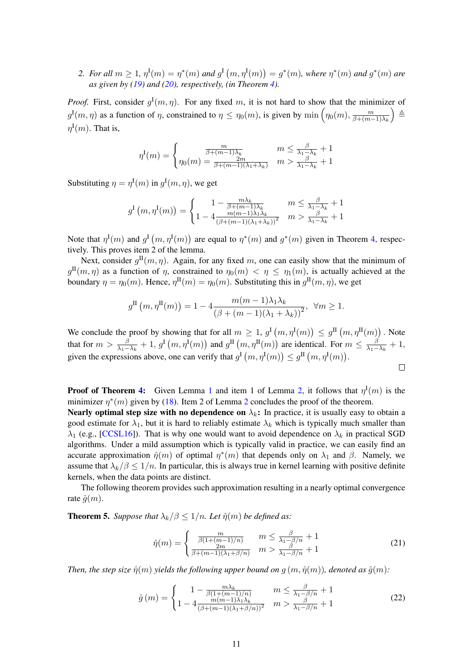2. For all  $m \ge 1$ ,  $\eta^{I}(m) = \eta^{*}(m)$  and  $g^{I}(m, \eta^{I}(m)) = g^{*}(m)$ , where  $\eta^{*}(m)$  and  $g^{*}(m)$  are *as given by [\(19\)](#page-9-1) and [\(20\)](#page-9-2), respectively, (in Theorem [4\)](#page-9-3).*

*Proof.* First, consider  $g^{\text{I}}(m, \eta)$ . For any fixed m, it is not hard to show that the minimizer of  $g^{\text{I}}(m,\eta)$  as a function of  $\eta$ , constrained to  $\eta \leq \eta_0(m)$ , is given by  $\min \left( \eta_0(m), \frac{m}{\beta + (m+\eta_0)} \right)$  $\beta+(m-1)\lambda_k$  $\Delta$  $\eta^{\rm I}(m)$ . That is,

$$
\eta^{\mathcal{I}}(m) = \begin{cases} \frac{m}{\beta + (m-1)\lambda_k} & m \le \frac{\beta}{\lambda_1 - \lambda_k} + 1\\ \eta_0(m) = \frac{2m}{\beta + (m-1)(\lambda_1 + \lambda_k)} & m > \frac{\beta}{\lambda_1 - \lambda_k} + 1 \end{cases}
$$

Substituting  $\eta = \eta^{\text{I}}(m)$  in  $g^{\text{I}}(m, \eta)$ , we get

$$
g^{I}(m,\eta^{I}(m)) = \begin{cases} 1 - \frac{m\lambda_{k}}{\beta + (m-1)\lambda_{k}} & m \leq \frac{\beta}{\lambda_{1} - \lambda_{k}} + 1\\ 1 - 4\frac{m(m-1)\lambda_{1}\lambda_{k}}{(\beta + (m-1)(\lambda_{1} + \lambda_{k}))^{2}} & m > \frac{\beta}{\lambda_{1} - \lambda_{k}} + 1 \end{cases}
$$

Note that  $\eta^{\text{I}}(m)$  and  $g^{\text{I}}(m, \eta^{\text{I}}(m))$  are equal to  $\eta^*(m)$  and  $g^*(m)$  given in Theorem [4,](#page-9-3) respectively. This proves item 2 of the lemma.

Next, consider  $g^{\text{II}}(m, \eta)$ . Again, for any fixed m, one can easily show that the minimum of  $g^{\text{II}}(m,\eta)$  as a function of  $\eta$ , constrained to  $\eta_0(m) < \eta \leq \eta_1(m)$ , is actually achieved at the boundary  $\eta = \eta_0(m)$ . Hence,  $\eta^{\text{II}}(m) = \eta_0(m)$ . Substituting this in  $g^{\text{II}}(m, \eta)$ , we get

$$
g^{\mathrm{II}}\left(m,\eta^{\mathrm{II}}(m)\right) = 1 - 4 \frac{m(m-1)\lambda_1\lambda_k}{\left(\beta + (m-1)(\lambda_1 + \lambda_k)\right)^2}, \ \ \forall m \ge 1.
$$

We conclude the proof by showing that for all  $m \geq 1$ ,  $g^{\text{I}}(m, \eta^{\text{I}}(m)) \leq g^{\text{II}}(m, \eta^{\text{II}}(m))$ . Note that for  $m > \frac{\beta}{\lambda_1 - \lambda_k} + 1$ ,  $g^{\text{I}}(m, \eta^{\text{I}}(m))$  and  $g^{\text{II}}(m, \eta^{\text{II}}(m))$  are identical. For  $m \le \frac{\beta}{\lambda_1 - \lambda_k}$  $\frac{\beta}{\lambda_1-\lambda_k}+1,$ given the expressions above, one can verify that  $g^{\text{I}}(m, \eta^{\text{I}}(m)) \leq g^{\text{II}}(m, \eta^{\text{I}}(m))$ .  $\Box$ 

**Proof of Theorem [4:](#page-9-3)** Given Lemma [1](#page-9-0) and item 1 of Lemma [2,](#page-9-4) it follows that  $\eta^{\text{I}}(m)$  is the minimizer  $\eta^*(m)$  given by [\(18\)](#page-8-2). Item [2](#page-9-4) of Lemma 2 concludes the proof of the theorem.

**Nearly optimal step size with no dependence on**  $\lambda_k$ : In practice, it is usually easy to obtain a good estimate for  $\lambda_1$ , but it is hard to reliably estimate  $\lambda_k$  which is typically much smaller than  $\lambda_1$  (e.g., [\[CCSL16\]](#page-17-2)). That is why one would want to avoid dependence on  $\lambda_k$  in practical SGD algorithms. Under a mild assumption which is typically valid in practice, we can easily find an accurate approximation  $\hat{\eta}(m)$  of optimal  $\eta^*(m)$  that depends only on  $\lambda_1$  and  $\beta$ . Namely, we assume that  $\lambda_k/\beta \leq 1/n$ . In particular, this is always true in kernel learning with positive definite kernels, when the data points are distinct.

The following theorem provides such approximation resulting in a nearly optimal convergence rate  $\hat{g}(m)$ .

<span id="page-10-0"></span>**Theorem 5.** *Suppose that*  $\lambda_k/\beta \leq 1/n$ *. Let*  $\hat{\eta}(m)$  *be defined as:* 

<span id="page-10-1"></span>
$$
\hat{\eta}(m) = \begin{cases} \frac{m}{\beta(1 + (m-1)/n)} & m \le \frac{\beta}{\lambda_1 - \beta/n} + 1\\ \frac{2m}{\beta + (m-1)(\lambda_1 + \beta/n)} & m > \frac{\beta}{\lambda_1 - \beta/n} + 1 \end{cases} \tag{21}
$$

*Then, the step size*  $\hat{\eta}(m)$  *yields the following upper bound on*  $q(m, \hat{\eta}(m))$ *, denoted as*  $\hat{q}(m)$ *:* 

$$
\hat{g}(m) = \begin{cases}\n1 - \frac{m\lambda_k}{\beta(1 + (m-1)/n)} & m \le \frac{\beta}{\lambda_1 - \beta/n} + 1 \\
1 - 4 \frac{m(m-1)\lambda_1\lambda_k}{(\beta + (m-1)(\lambda_1 + \beta/n))^2} & m > \frac{\beta}{\lambda_1 - \beta/n} + 1\n\end{cases}
$$
\n(22)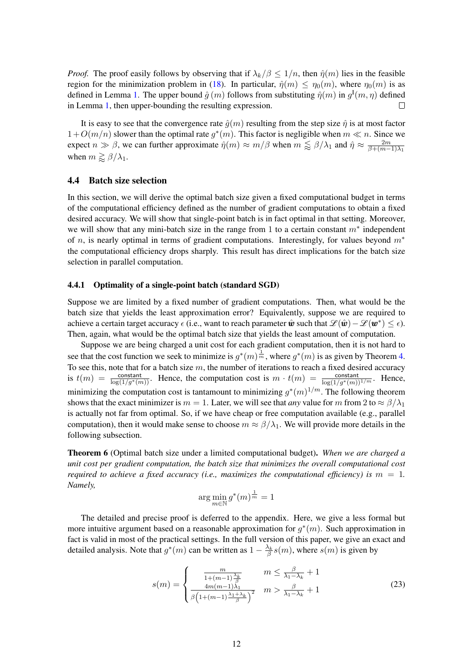*Proof.* The proof easily follows by observing that if  $\lambda_k/\beta \leq 1/n$ , then  $\hat{\eta}(m)$  lies in the feasible region for the minimization problem in [\(18\)](#page-8-2). In particular,  $\hat{\eta}(m) \leq \eta_0(m)$ , where  $\eta_0(m)$  is as defined in Lemma [1.](#page-9-0) The upper bound  $\hat{g}(m)$  follows from substituting  $\hat{\eta}(m)$  in  $g^{\text{I}}(m,\eta)$  defined in Lemma [1,](#page-9-0) then upper-bounding the resulting expression.  $\Box$ 

It is easy to see that the convergence rate  $\hat{q}(m)$  resulting from the step size  $\hat{\eta}$  is at most factor  $1+O(m/n)$  slower than the optimal rate  $g^*(m)$ . This factor is negligible when  $m \ll n$ . Since we expect  $n \gg \beta$ , we can further approximate  $\hat{\eta}(m) \approx m/\beta$  when  $m \lessapprox \beta/\lambda_1$  and  $\hat{\eta} \approx \frac{2m}{\beta + (m-1)}$  $\beta+(m-1)\lambda_1$ when  $m \gtrapprox \beta/\lambda_1$ .

#### 4.4 Batch size selection

In this section, we will derive the optimal batch size given a fixed computational budget in terms of the computational efficiency defined as the number of gradient computations to obtain a fixed desired accuracy. We will show that single-point batch is in fact optimal in that setting. Moreover, we will show that any mini-batch size in the range from 1 to a certain constant  $m^*$  independent of n, is nearly optimal in terms of gradient computations. Interestingly, for values beyond  $m<sup>*</sup>$ the computational efficiency drops sharply. This result has direct implications for the batch size selection in parallel computation.

#### <span id="page-11-2"></span>4.4.1 Optimality of a single-point batch (standard SGD)

Suppose we are limited by a fixed number of gradient computations. Then, what would be the batch size that yields the least approximation error? Equivalently, suppose we are required to achieve a certain target accuracy  $\epsilon$  (i.e., want to reach parameter  $\hat{\bm{w}}$  such that  $\mathscr{L}(\hat{\bm{w}}) - \mathscr{L}(\bm{w}^*) \leq \epsilon$ ). Then, again, what would be the optimal batch size that yields the least amount of computation.

Suppose we are being charged a unit cost for each gradient computation, then it is not hard to see that the cost function we seek to minimize is  $g^*(m) \frac{1}{m}$ , where  $g^*(m)$  is as given by Theorem [4.](#page-9-3) To see this, note that for a batch size  $m$ , the number of iterations to reach a fixed desired accuracy is  $t(m) = \frac{\text{constant}}{\log(1/g^*(m))}$ . Hence, the computation cost is  $m \cdot t(m) = \frac{\text{constant}}{\log(1/g^*(m))^{1/m}}$ . Hence, minimizing the computation cost is tantamount to minimizing  $g^*(m)^{1/m}$ . The following theorem shows that the exact minimizer is  $m = 1$ . Later, we will see that *any* value for m from 2 to  $\approx \frac{\beta}{\lambda_1}$ is actually not far from optimal. So, if we have cheap or free computation available (e.g., parallel computation), then it would make sense to choose  $m \approx \beta/\lambda_1$ . We will provide more details in the following subsection.

<span id="page-11-1"></span>Theorem 6 (Optimal batch size under a limited computational budget). *When we are charged a unit cost per gradient computation, the batch size that minimizes the overall computational cost required to achieve a fixed accuracy (i.e., maximizes the computational efficiency) is*  $m = 1$ . *Namely,*

<span id="page-11-0"></span>
$$
\arg\min_{m\in\mathbb{N}} g^*(m)^{\frac{1}{m}} = 1
$$

The detailed and precise proof is deferred to the appendix. Here, we give a less formal but more intuitive argument based on a reasonable approximation for  $g^*(m)$ . Such approximation in fact is valid in most of the practical settings. In the full version of this paper, we give an exact and detailed analysis. Note that  $g^*(m)$  can be written as  $1 - \frac{\lambda_k}{\beta} s(m)$ , where  $s(m)$  is given by

$$
s(m) = \begin{cases} \frac{m}{1 + (m-1)\frac{\lambda_k}{\beta}} & m \le \frac{\beta}{\lambda_1 - \lambda_k} + 1\\ \frac{4m(m-1)\lambda_1}{\beta \left(1 + (m-1)\frac{\lambda_1 + \lambda_k}{\beta}\right)^2} & m > \frac{\beta}{\lambda_1 - \lambda_k} + 1 \end{cases}
$$
(23)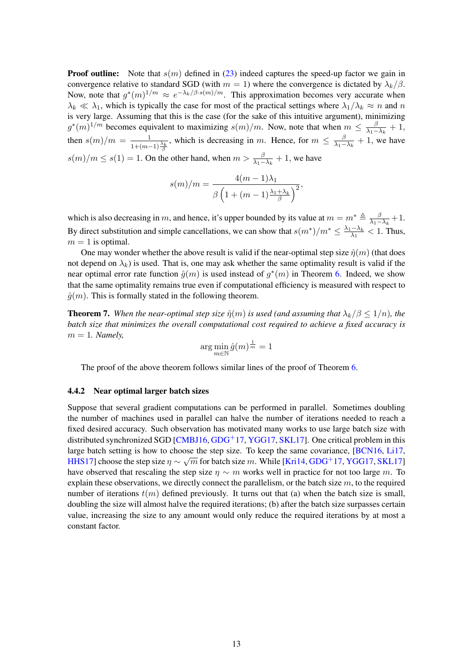**Proof outline:** Note that  $s(m)$  defined in [\(23\)](#page-11-0) indeed captures the speed-up factor we gain in convergence relative to standard SGD (with  $m = 1$ ) where the convergence is dictated by  $\lambda_k/\beta$ . Now, note that  $g^*(m)^{1/m} \approx e^{-\lambda_k/\beta \cdot s(m)/m}$ . This approximation becomes very accurate when  $\lambda_k \ll \lambda_1$ , which is typically the case for most of the practical settings where  $\lambda_1/\lambda_k \approx n$  and n is very large. Assuming that this is the case (for the sake of this intuitive argument), minimizing  $g^*(m)^{1/m}$  becomes equivalent to maximizing  $s(m)/m$ . Now, note that when  $m \leq \frac{\beta}{\lambda_1 - m}$  $\frac{\beta}{\lambda_1-\lambda_k}+1,$ then  $s(m)/m = \frac{1}{1 + (m-1)\frac{\lambda_k}{\beta}}$ , which is decreasing in m. Hence, for  $m \leq \frac{\beta}{\lambda_1 - \beta_2}$  $\frac{\beta}{\lambda_1 - \lambda_k} + 1$ , we have  $s(m)/m \leq s(1) = 1$ . On the other hand, when  $m > \frac{\beta}{\lambda_1 - \lambda_k} + 1$ , we have

$$
s(m)/m = \frac{4(m-1)\lambda_1}{\beta \left(1 + (m-1)\frac{\lambda_1 + \lambda_k}{\beta}\right)^2},
$$

which is also decreasing in m, and hence, it's upper bounded by its value at  $m = m^* \triangleq \frac{\beta}{\lambda_1 - \beta}$  $\frac{p}{\lambda_1 - \lambda_k} + 1.$ By direct substitution and simple cancellations, we can show that  $s(m^*)/m^* \leq \frac{\lambda_1 - \lambda_k}{\lambda_1}$  $\frac{1-\lambda_k}{\lambda_1} < 1$ . Thus,  $m = 1$  is optimal.

One may wonder whether the above result is valid if the near-optimal step size  $\hat{\eta}(m)$  (that does not depend on  $\lambda_k$ ) is used. That is, one may ask whether the same optimality result is valid if the near optimal error rate function  $\hat{g}(m)$  is used instead of  $g^*(m)$  in Theorem [6.](#page-11-1) Indeed, we show that the same optimality remains true even if computational efficiency is measured with respect to  $\hat{g}(m)$ . This is formally stated in the following theorem.

<span id="page-12-0"></span>**Theorem 7.** When the near-optimal step size  $\hat{\eta}(m)$  is used (and assuming that  $\lambda_k/\beta \leq 1/n$ ), the *batch size that minimizes the overall computational cost required to achieve a fixed accuracy is*  $m = 1$ *. Namely,* 

$$
\arg\min_{m\in\mathbb{N}}\hat{g}(m)^{\frac{1}{m}}=1
$$

The proof of the above theorem follows similar lines of the proof of Theorem [6.](#page-11-1)

#### 4.4.2 Near optimal larger batch sizes

Suppose that several gradient computations can be performed in parallel. Sometimes doubling the number of machines used in parallel can halve the number of iterations needed to reach a fixed desired accuracy. Such observation has motivated many works to use large batch size with distributed synchronized SGD [\[CMBJ16,](#page-17-12) [GDG](#page-17-8)<sup>+</sup>17, [YGG17,](#page-18-10) [SKL17\]](#page-18-11). One critical problem in this large batch setting is how to choose the step size. To keep the same covariance,  $\frac{18 \text{CN}}{16, \text{Li}}$ , [Li17,](#page-18-14) Western Step size of the same covariance,  $\frac{18 \text{CN}}{15, \text{Ni}}$ [HHS17\]](#page-17-14) choose the step size  $\eta \sim \sqrt{m}$  for batch size m. While [\[Kri14,](#page-17-7) [GDG](#page-17-8)<sup>+</sup>17, [YGG17,](#page-18-10) [SKL17\]](#page-18-11) have observed that rescaling the step size  $\eta \sim m$  works well in practice for not too large m. To explain these observations, we directly connect the parallelism, or the batch size  $m$ , to the required number of iterations  $t(m)$  defined previously. It turns out that (a) when the batch size is small, doubling the size will almost halve the required iterations; (b) after the batch size surpasses certain value, increasing the size to any amount would only reduce the required iterations by at most a constant factor.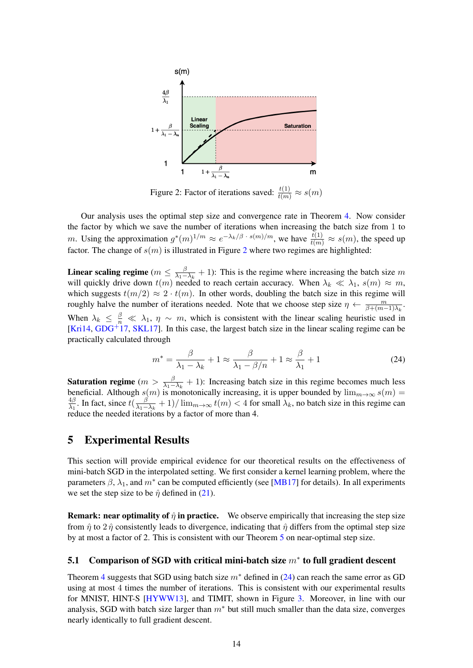<span id="page-13-1"></span>

Figure 2: Factor of iterations saved:  $\frac{t(1)}{t(m)} \approx s(m)$ 

Our analysis uses the optimal step size and convergence rate in Theorem [4.](#page-9-3) Now consider the factor by which we save the number of iterations when increasing the batch size from 1 to m. Using the approximation  $g^*(m)^{1/m} \approx e^{-\lambda_k/\beta + s(m)/m}$ , we have  $\frac{t(1)}{t(m)} \approx s(m)$ , the speed up factor. The change of  $s(m)$  is illustrated in Figure [2](#page-13-1) where two regimes are highlighted:

Linear scaling regime ( $m \leq \frac{\beta}{\lambda_1 - \beta_2}$  $\frac{\beta}{\lambda_1-\lambda_k}$  + 1): This is the regime where increasing the batch size m will quickly drive down  $t(m)$  needed to reach certain accuracy. When  $\lambda_k \ll \lambda_1$ ,  $s(m) \approx m$ , which suggests  $t(m/2) \approx 2 \cdot t(m)$ . In other words, doubling the batch size in this regime will roughly halve the number of iterations needed. Note that we choose step size  $\eta \leftarrow \frac{m}{\beta + (m-1)\lambda_k}$ . When  $\lambda_k \leq \frac{\beta}{n} \ll \lambda_1$ ,  $\eta \sim m$ , which is consistent with the linear scaling heuristic used in [\[Kri14,](#page-17-7) [GDG](#page-17-8)+17, [SKL17\]](#page-18-11). In this case, the largest batch size in the linear scaling regime can be practically calculated through

<span id="page-13-2"></span>
$$
m^* = \frac{\beta}{\lambda_1 - \lambda_k} + 1 \approx \frac{\beta}{\lambda_1 - \beta/n} + 1 \approx \frac{\beta}{\lambda_1} + 1
$$
 (24)

**Saturation regime**  $(m > \frac{\beta}{\lambda_1 - \lambda_k} + 1)$ : Increasing batch size in this regime becomes much less beneficial. Although  $s(m)$  is monotonically increasing, it is upper bounded by  $\lim_{m\to\infty} s(m)$  = 4β  $rac{4\beta}{\lambda_1}$ . In fact, since  $t(\frac{\beta}{\lambda_1 - \beta_1})$  $\frac{\beta}{\lambda_1-\lambda_k}+1)/\lim_{m\to\infty}t(m)<4$  for small  $\lambda_k$ , no batch size in this regime can reduce the needed iterations by a factor of more than 4.

# <span id="page-13-0"></span>5 Experimental Results

This section will provide empirical evidence for our theoretical results on the effectiveness of mini-batch SGD in the interpolated setting. We first consider a kernel learning problem, where the parameters  $\beta$ ,  $\lambda_1$ , and  $m^*$  can be computed efficiently (see [\[MB17\]](#page-18-15) for details). In all experiments we set the step size to be  $\hat{\eta}$  defined in [\(21\)](#page-10-1).

**Remark: near optimality of**  $\hat{\eta}$  **in practice.** We observe empirically that increasing the step size from  $\hat{\eta}$  to 2 $\hat{\eta}$  consistently leads to divergence, indicating that  $\hat{\eta}$  differs from the optimal step size by at most a factor of 2. This is consistent with our Theorem [5](#page-10-0) on near-optimal step size.

# 5.1 Comparison of SGD with critical mini-batch size  $m^*$  to full gradient descent

Theorem [4](#page-9-3) suggests that SGD using batch size  $m^*$  defined in [\(24\)](#page-13-2) can reach the same error as GD using at most 4 times the number of iterations. This is consistent with our experimental results for MNIST, HINT-S [\[HYWW13\]](#page-17-15), and TIMIT, shown in Figure [3.](#page-14-0) Moreover, in line with our analysis, SGD with batch size larger than  $m^*$  but still much smaller than the data size, converges nearly identically to full gradient descent.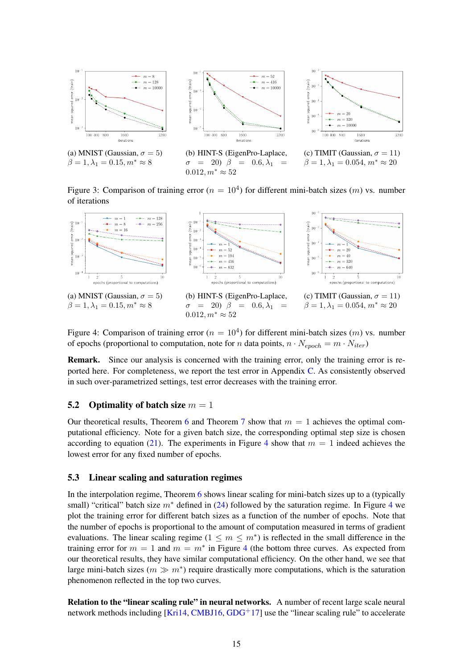<span id="page-14-0"></span>

Figure 3: Comparison of training error ( $n = 10<sup>4</sup>$ ) for different mini-batch sizes (*m*) vs. number of iterations

 $0.012, m^* \approx 52$ 

<span id="page-14-1"></span>

Figure 4: Comparison of training error ( $n = 10<sup>4</sup>$ ) for different mini-batch sizes (*m*) vs. number of epochs (proportional to computation, note for *n* data points,  $n \cdot N_{epoch} = m \cdot N_{iter}$ )

Remark. Since our analysis is concerned with the training error, only the training error is reported here. For completeness, we report the test error in Appendix [C.](#page-20-0) As consistently observed in such over-parametrized settings, test error decreases with the training error.

#### 5.2 Optimality of batch size  $m = 1$

Our theoretical results, Theorem [6](#page-11-1) and Theorem [7](#page-12-0) show that  $m = 1$  achieves the optimal computational efficiency. Note for a given batch size, the corresponding optimal step size is chosen according to equation [\(21\)](#page-10-1). The experiments in Figure [4](#page-14-1) show that  $m = 1$  indeed achieves the lowest error for any fixed number of epochs.

#### 5.3 Linear scaling and saturation regimes

In the interpolation regime, Theorem [6](#page-11-1) shows linear scaling for mini-batch sizes up to a (typically small) "critical" batch size  $m^*$  defined in [\(24\)](#page-13-2) followed by the saturation regime. In Figure [4](#page-14-1) we plot the training error for different batch sizes as a function of the number of epochs. Note that the number of epochs is proportional to the amount of computation measured in terms of gradient evaluations. The linear scaling regime  $(1 \le m \le m^*)$  is reflected in the small difference in the training error for  $m = 1$  and  $m = m^*$  in Figure [4](#page-14-1) (the bottom three curves. As expected from our theoretical results, they have similar computational efficiency. On the other hand, we see that large mini-batch sizes  $(m \gg m<sup>*</sup>)$  require drastically more computations, which is the saturation phenomenon reflected in the top two curves.

Relation to the "linear scaling rule" in neural networks. A number of recent large scale neural network methods including  $[Kri14, CMBJ16, GDG<sup>+</sup>17]$  $[Kri14, CMBJ16, GDG<sup>+</sup>17]$  $[Kri14, CMBJ16, GDG<sup>+</sup>17]$  $[Kri14, CMBJ16, GDG<sup>+</sup>17]$  $[Kri14, CMBJ16, GDG<sup>+</sup>17]$  $[Kri14, CMBJ16, GDG<sup>+</sup>17]$  use the "linear scaling rule" to accelerate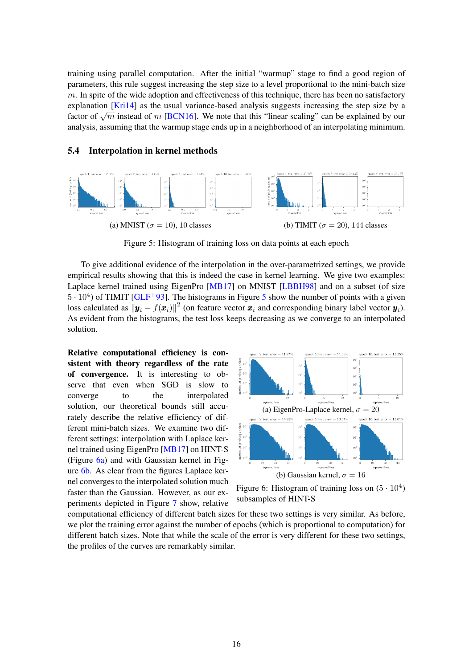training using parallel computation. After the initial "warmup" stage to find a good region of parameters, this rule suggest increasing the step size to a level proportional to the mini-batch size  $m$ . In spite of the wide adoption and effectiveness of this technique, there has been no satisfactory explanation [\[Kri14\]](#page-17-7) as the usual variance-based analysis suggests increasing the step size by a Explanation [KITI4] as the usual variance-based analysis suggests increasing the step size by a factor of  $\sqrt{m}$  instead of m [\[BCN16\]](#page-17-13). We note that this "linear scaling" can be explained by our analysis, assuming that the warmup stage ends up in a neighborhood of an interpolating minimum.

#### 5.4 Interpolation in kernel methods

<span id="page-15-0"></span>

Figure 5: Histogram of training loss on data points at each epoch

To give additional evidence of the interpolation in the over-parametrized settings, we provide empirical results showing that this is indeed the case in kernel learning. We give two examples: Laplace kernel trained using EigenPro [\[MB17\]](#page-18-15) on MNIST [\[LBBH98\]](#page-17-16) and on a subset (of size  $5 \cdot 10^4$  $5 \cdot 10^4$ ) of TIMIT [\[GLF](#page-17-17)<sup>+</sup>93]. The histograms in Figure 5 show the number of points with a given loss calculated as  $\|\bm{y}_i - f(\bm{x}_i)\|^2$  (on feature vector  $\bm{x}_i$  and corresponding binary label vector  $\bm{y}_i$ ). As evident from the histograms, the test loss keeps decreasing as we converge to an interpolated solution.

Relative computational efficiency is consistent with theory regardless of the rate of convergence. It is interesting to observe that even when SGD is slow to converge to the interpolated solution, our theoretical bounds still accurately describe the relative efficiency of different mini-batch sizes. We examine two different settings: interpolation with Laplace kernel trained using EigenPro [\[MB17\]](#page-18-15) on HINT-S (Figure [6a\)](#page-15-1) and with Gaussian kernel in Figure [6b.](#page-15-1) As clear from the figures Laplace kernel converges to the interpolated solution much faster than the Gaussian. However, as our experiments depicted in Figure [7](#page-16-0) show, relative

<span id="page-15-1"></span>

Figure 6: Histogram of training loss on  $(5 \cdot 10^4)$ subsamples of HINT-S

computational efficiency of different batch sizes for these two settings is very similar. As before, we plot the training error against the number of epochs (which is proportional to computation) for different batch sizes. Note that while the scale of the error is very different for these two settings, the profiles of the curves are remarkably similar.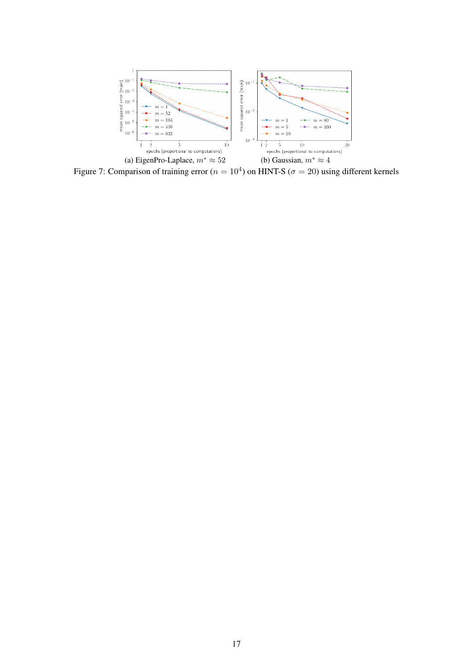<span id="page-16-0"></span>

Figure 7: Comparison of training error ( $n = 10<sup>4</sup>$ ) on HINT-S ( $\sigma = 20$ ) using different kernels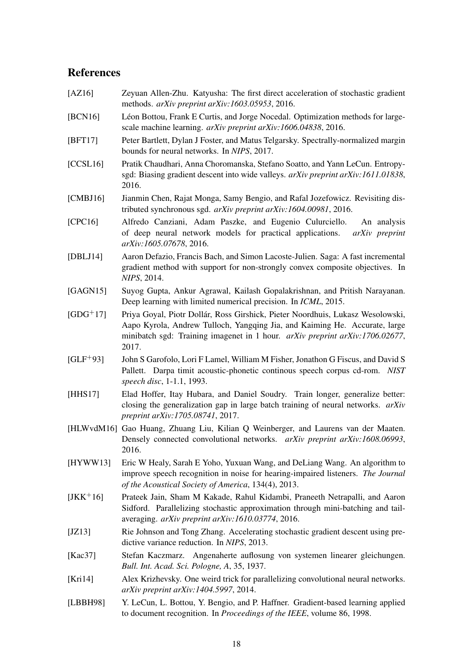# References

- <span id="page-17-11"></span>[AZ16] Zeyuan Allen-Zhu. Katyusha: The first direct acceleration of stochastic gradient methods. *arXiv preprint arXiv:1603.05953*, 2016.
- <span id="page-17-13"></span>[BCN16] Léon Bottou, Frank E Curtis, and Jorge Nocedal. Optimization methods for largescale machine learning. *arXiv preprint arXiv:1606.04838*, 2016.
- <span id="page-17-4"></span>[BFT17] Peter Bartlett, Dylan J Foster, and Matus Telgarsky. Spectrally-normalized margin bounds for neural networks. In *NIPS*, 2017.
- <span id="page-17-2"></span>[CCSL16] Pratik Chaudhari, Anna Choromanska, Stefano Soatto, and Yann LeCun. Entropysgd: Biasing gradient descent into wide valleys. *arXiv preprint arXiv:1611.01838*, 2016.
- <span id="page-17-12"></span>[CMBJ16] Jianmin Chen, Rajat Monga, Samy Bengio, and Rafal Jozefowicz. Revisiting distributed synchronous sgd. *arXiv preprint arXiv:1604.00981*, 2016.
- <span id="page-17-0"></span>[CPC16] Alfredo Canziani, Adam Paszke, and Eugenio Culurciello. An analysis of deep neural network models for practical applications. *arXiv preprint arXiv:1605.07678*, 2016.
- <span id="page-17-10"></span>[DBLJ14] Aaron Defazio, Francis Bach, and Simon Lacoste-Julien. Saga: A fast incremental gradient method with support for non-strongly convex composite objectives. In *NIPS*, 2014.
- <span id="page-17-1"></span>[GAGN15] Suyog Gupta, Ankur Agrawal, Kailash Gopalakrishnan, and Pritish Narayanan. Deep learning with limited numerical precision. In *ICML*, 2015.
- <span id="page-17-8"></span>[GDG+17] Priya Goyal, Piotr Dollár, Ross Girshick, Pieter Noordhuis, Lukasz Wesolowski, Aapo Kyrola, Andrew Tulloch, Yangqing Jia, and Kaiming He. Accurate, large minibatch sgd: Training imagenet in 1 hour. *arXiv preprint arXiv:1706.02677*, 2017.
- <span id="page-17-17"></span>[GLF+93] John S Garofolo, Lori F Lamel, William M Fisher, Jonathon G Fiscus, and David S Pallett. Darpa timit acoustic-phonetic continous speech corpus cd-rom. *NIST speech disc*, 1-1.1, 1993.
- <span id="page-17-14"></span>[HHS17] Elad Hoffer, Itay Hubara, and Daniel Soudry. Train longer, generalize better: closing the generalization gap in large batch training of neural networks. *arXiv preprint arXiv:1705.08741*, 2017.
- <span id="page-17-3"></span>[HLWvdM16] Gao Huang, Zhuang Liu, Kilian Q Weinberger, and Laurens van der Maaten. Densely connected convolutional networks. *arXiv preprint arXiv:1608.06993*, 2016.
- <span id="page-17-15"></span>[HYWW13] Eric W Healy, Sarah E Yoho, Yuxuan Wang, and DeLiang Wang. An algorithm to improve speech recognition in noise for hearing-impaired listeners. *The Journal of the Acoustical Society of America*, 134(4), 2013.
- <span id="page-17-6"></span>[JKK+16] Prateek Jain, Sham M Kakade, Rahul Kidambi, Praneeth Netrapalli, and Aaron Sidford. Parallelizing stochastic approximation through mini-batching and tailaveraging. *arXiv preprint arXiv:1610.03774*, 2016.
- <span id="page-17-9"></span>[JZ13] Rie Johnson and Tong Zhang. Accelerating stochastic gradient descent using predictive variance reduction. In *NIPS*, 2013.
- <span id="page-17-5"></span>[Kac37] Stefan Kaczmarz. Angenaherte auflosung von systemen linearer gleichungen. *Bull. Int. Acad. Sci. Pologne, A*, 35, 1937.
- <span id="page-17-7"></span>[Kri14] Alex Krizhevsky. One weird trick for parallelizing convolutional neural networks. *arXiv preprint arXiv:1404.5997*, 2014.
- <span id="page-17-16"></span>[LBBH98] Y. LeCun, L. Bottou, Y. Bengio, and P. Haffner. Gradient-based learning applied to document recognition. In *Proceedings of the IEEE*, volume 86, 1998.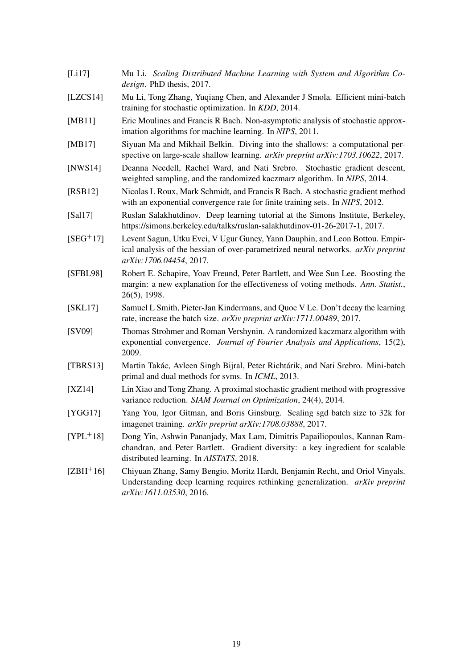- <span id="page-18-14"></span>[Li17] Mu Li. *Scaling Distributed Machine Learning with System and Algorithm Codesign*. PhD thesis, 2017.
- <span id="page-18-8"></span>[LZCS14] Mu Li, Tong Zhang, Yuqiang Chen, and Alexander J Smola. Efficient mini-batch training for stochastic optimization. In *KDD*, 2014.
- <span id="page-18-5"></span>[MB11] Eric Moulines and Francis R Bach. Non-asymptotic analysis of stochastic approximation algorithms for machine learning. In *NIPS*, 2011.
- <span id="page-18-15"></span>[MB17] Siyuan Ma and Mikhail Belkin. Diving into the shallows: a computational perspective on large-scale shallow learning. *arXiv preprint arXiv:1703.10622*, 2017.
- <span id="page-18-6"></span>[NWS14] Deanna Needell, Rachel Ward, and Nati Srebro. Stochastic gradient descent, weighted sampling, and the randomized kaczmarz algorithm. In *NIPS*, 2014.
- <span id="page-18-12"></span>[RSB12] Nicolas L Roux, Mark Schmidt, and Francis R Bach. A stochastic gradient method with an exponential convergence rate for finite training sets. In *NIPS*, 2012.
- <span id="page-18-0"></span>[Sal17] Ruslan Salakhutdinov. Deep learning tutorial at the Simons Institute, Berkeley, https://simons.berkeley.edu/talks/ruslan-salakhutdinov-01-26-2017-1, 2017.
- <span id="page-18-2"></span>[SEG+17] Levent Sagun, Utku Evci, V Ugur Guney, Yann Dauphin, and Leon Bottou. Empirical analysis of the hessian of over-parametrized neural networks. *arXiv preprint arXiv:1706.04454*, 2017.
- <span id="page-18-3"></span>[SFBL98] Robert E. Schapire, Yoav Freund, Peter Bartlett, and Wee Sun Lee. Boosting the margin: a new explanation for the effectiveness of voting methods. *Ann. Statist.*, 26(5), 1998.
- <span id="page-18-11"></span>[SKL17] Samuel L Smith, Pieter-Jan Kindermans, and Quoc V Le. Don't decay the learning rate, increase the batch size. *arXiv preprint arXiv:1711.00489*, 2017.
- <span id="page-18-4"></span>[SV09] Thomas Strohmer and Roman Vershynin. A randomized kaczmarz algorithm with exponential convergence. *Journal of Fourier Analysis and Applications*, 15(2), 2009.
- <span id="page-18-7"></span>[TBRS13] Martin Takác, Avleen Singh Bijral, Peter Richtárik, and Nati Srebro. Mini-batch primal and dual methods for svms. In *ICML*, 2013.
- <span id="page-18-13"></span>[XZ14] Lin Xiao and Tong Zhang. A proximal stochastic gradient method with progressive variance reduction. *SIAM Journal on Optimization*, 24(4), 2014.
- <span id="page-18-10"></span>[YGG17] Yang You, Igor Gitman, and Boris Ginsburg. Scaling sgd batch size to 32k for imagenet training. *arXiv preprint arXiv:1708.03888*, 2017.
- <span id="page-18-9"></span>[YPL+18] Dong Yin, Ashwin Pananjady, Max Lam, Dimitris Papailiopoulos, Kannan Ramchandran, and Peter Bartlett. Gradient diversity: a key ingredient for scalable distributed learning. In *AISTATS*, 2018.
- <span id="page-18-1"></span>[ZBH+16] Chiyuan Zhang, Samy Bengio, Moritz Hardt, Benjamin Recht, and Oriol Vinyals. Understanding deep learning requires rethinking generalization. *arXiv preprint arXiv:1611.03530*, 2016.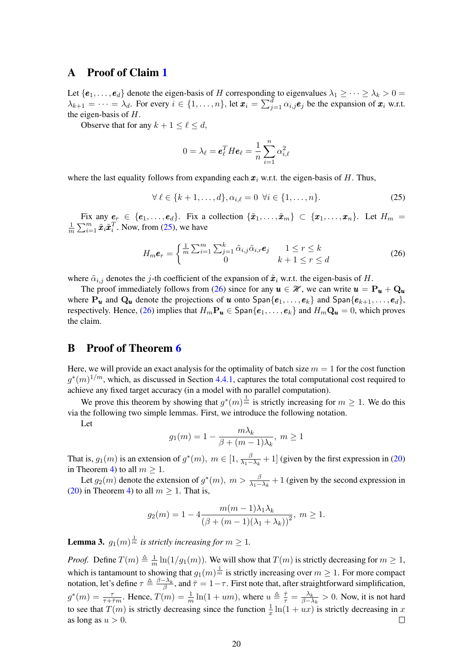### A Proof of Claim [1](#page-7-7)

Let  $\{e_1,\ldots,e_d\}$  denote the eigen-basis of H corresponding to eigenvalues  $\lambda_1 \geq \cdots \geq \lambda_k > 0$  $\lambda_{k+1} = \cdots = \lambda_d$ . For every  $i \in \{1, \ldots, n\}$ , let  $\mathbf{x}_i = \sum_{j=1}^d \alpha_{i,j} \mathbf{e}_j$  be the expansion of  $\mathbf{x}_i$  w.r.t. the eigen-basis of H.

Observe that for any  $k + 1 \leq \ell \leq d$ ,

<span id="page-19-1"></span><span id="page-19-0"></span>
$$
0 = \lambda_{\ell} = \boldsymbol{e}_{\ell}^T H \boldsymbol{e}_{\ell} = \frac{1}{n} \sum_{i=1}^n \alpha_{i,\ell}^2
$$

where the last equality follows from expanding each  $x_i$  w.r.t. the eigen-basis of H. Thus,

$$
\forall \ell \in \{k+1,\ldots,d\}, \alpha_{i,\ell} = 0 \ \forall i \in \{1,\ldots,n\}.
$$
 (25)

Fix any  $e_r \in \{e_1, \ldots, e_d\}$ . Fix a collection  $\{\tilde{x}_1, \ldots, \tilde{x}_m\} \subset \{x_1, \ldots, x_n\}$ . Let  $H_m =$ 1  $\frac{1}{m} \sum_{i=1}^{m} \tilde{x}_i \tilde{x}_i^T$ . Now, from [\(25\)](#page-19-0), we have

$$
H_m \boldsymbol{e}_r = \begin{cases} \frac{1}{m} \sum_{i=1}^m \sum_{j=1}^k \tilde{\alpha}_{i,j} \tilde{\alpha}_{i,r} \boldsymbol{e}_j & 1 \le r \le k \\ 0 & k+1 \le r \le d \end{cases}
$$
(26)

where  $\tilde{\alpha}_{i,j}$  denotes the j-th coefficient of the expansion of  $\tilde{\boldsymbol{x}}_i$  w.r.t. the eigen-basis of H.

The proof immediately follows from [\(26\)](#page-19-1) since for any  $u \in \mathcal{H}$ , we can write  $u = \mathbf{P}_u + \mathbf{Q}_u$ where  $P_u$  and  $Q_u$  denote the projections of u onto  $\text{Span}\{e_1, \ldots, e_k\}$  and  $\text{Span}\{e_{k+1}, \ldots, e_d\}$ , respectively. Hence, [\(26\)](#page-19-1) implies that  $H_mP_u \in \text{Span}\{e_1,\ldots,e_k\}$  and  $H_mQ_u = 0$ , which proves the claim.

### B Proof of Theorem [6](#page-11-1)

Here, we will provide an exact analysis for the optimality of batch size  $m = 1$  for the cost function  $g^*(m)^{1/m}$ , which, as discussed in Section [4.4.1,](#page-11-2) captures the total computational cost required to achieve any fixed target accuracy (in a model with no parallel computation).

We prove this theorem by showing that  $g^*(m)^\frac{1}{m}$  is strictly increasing for  $m \geq 1$ . We do this via the following two simple lemmas. First, we introduce the following notation.

Let

$$
g_1(m) = 1 - \frac{m\lambda_k}{\beta + (m-1)\lambda_k}, \ m \ge 1
$$

That is,  $g_1(m)$  is an extension of  $g^*(m)$ ,  $m \in [1, \frac{\beta}{\lambda}$  $\frac{\beta}{\lambda_1 - \lambda_k} + 1$ ] (given by the first expression in [\(20\)](#page-9-2) in Theorem [4\)](#page-9-3) to all  $m \geq 1$ .

Let  $g_2(m)$  denote the extension of  $g^*(m)$ ,  $m > \frac{\beta}{\lambda_1 - \lambda_k} + 1$  (given by the second expression in [\(20\)](#page-9-2) in Theorem [4\)](#page-9-3) to all  $m \geq 1$ . That is,

$$
g_2(m) = 1 - 4 \frac{m(m-1)\lambda_1 \lambda_k}{\left(\beta + (m-1)(\lambda_1 + \lambda_k)\right)^2}, \ m \ge 1.
$$

<span id="page-19-2"></span>**Lemma 3.**  $g_1(m)^{\frac{1}{m}}$  is strictly increasing for  $m \geq 1$ .

*Proof.* Define  $T(m) \triangleq \frac{1}{n}$  $\frac{1}{m} \ln(1/g_1(m))$ . We will show that  $T(m)$  is strictly decreasing for  $m \ge 1$ , which is tantamount to showing that  $g_1(m)^{\frac{1}{m}}$  is strictly increasing over  $m \geq 1$ . For more compact notation, let's define  $\tau \triangleq \frac{\beta - \lambda_k}{\beta}$ , and  $\bar{\tau} = 1 - \tau$ . First note that, after straightforward simplification,  $g^*(m) = \frac{\tau}{\tau + \bar{\tau}m}$ . Hence,  $T(m) = \frac{1}{m} \ln(1 + um)$ , where  $u \triangleq \frac{\bar{\tau}}{\tau} = \frac{\lambda_k}{\beta - \lambda}$  $\frac{\lambda_k}{\beta - \lambda_k} > 0$ . Now, it is not hard to see that  $T(m)$  is strictly decreasing since the function  $\frac{1}{x} \ln(1 + ux)$  is strictly decreasing in x as long as  $u > 0$ .  $\Box$